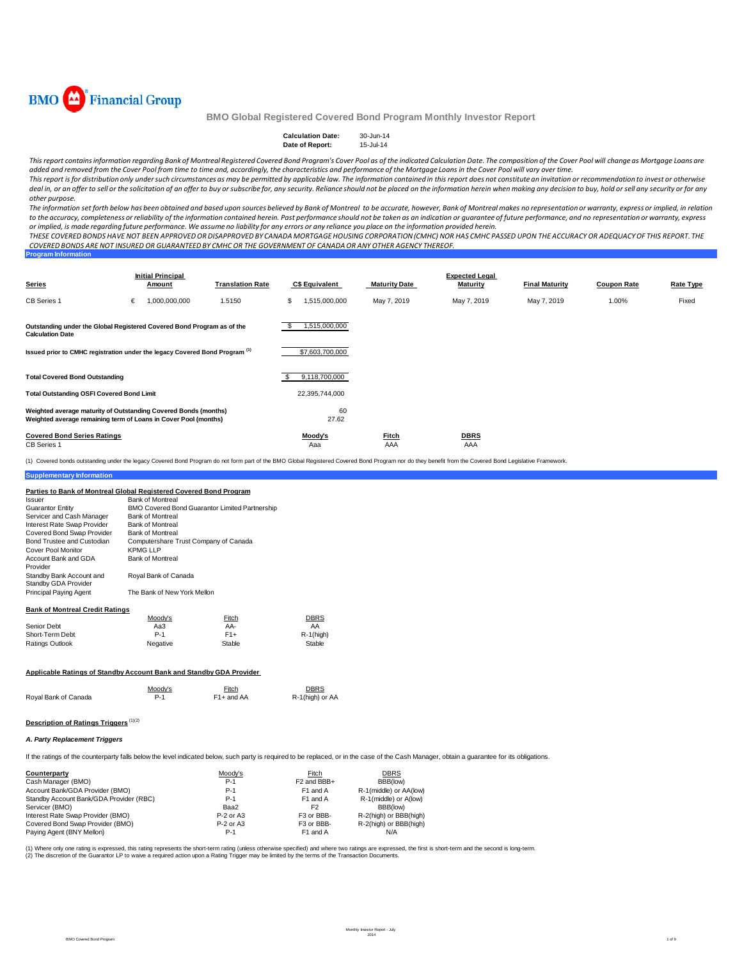

| <b>Calculation Date:</b> | 30-Jun-14 |
|--------------------------|-----------|
| Date of Report:          | 15-Jul-14 |

This report contains information regarding Bank of Montreal Registered Covered Bond Program's Cover Pool as of the indicated Calculation Date. The composition of the Cover Pool will change as Mortgage Loans are added and removed from the Cover Pool from time to time and, accordingly, the characteristics and performance of the Mortgage Loans in the Cover Pool will vary over time.

This report is for distribution only under such circumstances as may be permitted by applicable law. The information contained in this report does not constitute an invitation or recommendation to invest or otherwise deal in, or an offer to sell or the solicitation of an offer to buy or subscribe for, any security. Reliance should not be placed on the information herein when making any decision to buy, hold or sell any security or for *other purpose.*

The information set forth below has been obtained and based upon sources believed by Bank of Montreal to be accurate, however, Bank of Montreal makes no representation or warranty, express or implied, in relation to the accuracy, completeness or reliability of the information contained herein. Past performance should not be taken as an indication or guarantee of future performance, and no representation or warranty, express or implied, is made regarding future performance. We assume no liability for any errors or any reliance you place on the information provided herein.

THESE COVERED BONDS HAVE NOT BEEN APPROVED OR DISAPPROVED BY CANADA MORTGAGE HOUSING CORPORATION (CMHC) NOR HAS CMHC PASSED UPON THE ACCURACY OR ADEQUACY OF THIS REPORT. THE COVERED BONDS ARE NOT INSURED OR GUARANTEED BY CMHC OR THE GOVERNMENT OF CANADA OR ANY OTHER AGENCY THEREOF.

| <b>Program Information</b> |  |  |  |
|----------------------------|--|--|--|
|                            |  |  |  |
|                            |  |  |  |

| <b>Series</b>                                                                                                                      | <b>Initial Principal</b><br>Amount | <b>Translation Rate</b> | <b>C\$ Equivalent</b> | Maturity Date       | <b>Expected Legal</b><br><b>Maturity</b> | <b>Final Maturity</b> | <b>Coupon Rate</b> | Rate Type |
|------------------------------------------------------------------------------------------------------------------------------------|------------------------------------|-------------------------|-----------------------|---------------------|------------------------------------------|-----------------------|--------------------|-----------|
| CB Series 1                                                                                                                        | 1,000,000,000<br>€                 | 1.5150                  | \$<br>1,515,000,000   | May 7, 2019         | May 7, 2019                              | May 7, 2019           | 1.00%              | Fixed     |
| Outstanding under the Global Registered Covered Bond Program as of the<br><b>Calculation Date</b>                                  |                                    |                         | 1,515,000,000<br>£.   |                     |                                          |                       |                    |           |
| Issued prior to CMHC registration under the legacy Covered Bond Program <sup>(1)</sup>                                             |                                    |                         | \$7,603,700,000       |                     |                                          |                       |                    |           |
| <b>Total Covered Bond Outstanding</b>                                                                                              |                                    |                         | 9,118,700,000         |                     |                                          |                       |                    |           |
| <b>Total Outstanding OSFI Covered Bond Limit</b>                                                                                   |                                    |                         | 22,395,744,000        |                     |                                          |                       |                    |           |
| Weighted average maturity of Outstanding Covered Bonds (months)<br>Weighted average remaining term of Loans in Cover Pool (months) |                                    |                         | 60<br>27.62           |                     |                                          |                       |                    |           |
| <b>Covered Bond Series Ratings</b><br><b>CB</b> Series 1                                                                           |                                    |                         | Moody's<br>Aaa        | <b>Fitch</b><br>AAA | <b>DBRS</b><br>AAA                       |                       |                    |           |

(1) Covered bonds outstanding under the legacy Covered Bond Program do not form part of the BMO Global Registered Covered Bond Program nor do they benefit from the Covered Bond Legislative Framework.

#### **Parties to Bank of Montreal Global Registered Covered Bond Program**

| Issuer                                           | <b>Bank of Montreal</b>               |                                                |              |
|--------------------------------------------------|---------------------------------------|------------------------------------------------|--------------|
| <b>Guarantor Entity</b>                          |                                       | BMO Covered Bond Guarantor Limited Partnership |              |
| Servicer and Cash Manager                        | <b>Bank of Montreal</b>               |                                                |              |
| Interest Rate Swap Provider                      | <b>Bank of Montreal</b>               |                                                |              |
| Covered Bond Swap Provider                       | <b>Bank of Montreal</b>               |                                                |              |
| Bond Trustee and Custodian                       | Computershare Trust Company of Canada |                                                |              |
| Cover Pool Monitor                               | <b>KPMG LLP</b>                       |                                                |              |
| Account Bank and GDA<br>Provider                 | <b>Bank of Montreal</b>               |                                                |              |
| Standby Bank Account and<br>Standby GDA Provider | Royal Bank of Canada                  |                                                |              |
| <b>Principal Paying Agent</b>                    | The Bank of New York Mellon           |                                                |              |
| <b>Bank of Montreal Credit Ratings</b>           |                                       |                                                |              |
|                                                  | Moody's                               | Fitch                                          | <b>DBRS</b>  |
| Senior Debt                                      | Aa3                                   | AA-                                            | AA           |
| Short-Term Debt                                  | $P-1$                                 | $F1+$                                          | $R-1$ (high) |
| Ratings Outlook                                  | Negative                              | Stable                                         | Stable       |

| Applicable Ratings of Standby Account Bank and Standby GDA Provider |  |
|---------------------------------------------------------------------|--|

|                      | Moodv's | Fitch      | <b>DBRS</b>     |
|----------------------|---------|------------|-----------------|
| Royal Bank of Canada | $P-1$   | F1+ and AA | R-1(high) or AA |

Ratings Outlook Negative Stable Stable Stable Stable

#### **Description of Ratings Triggers** (1)(2)

#### *A. Party Replacement Triggers*

**Supplementary Information**

If the ratings of the counterparty falls below the level indicated below, such party is required to be replaced, or in the case of the Cash Manager, obtain a guarantee for its obligations.

| Counterparty                            | Moody's     | Fitch                   | <b>DBRS</b>            |
|-----------------------------------------|-------------|-------------------------|------------------------|
| Cash Manager (BMO)                      | $P-1$       | F <sub>2</sub> and BBB+ | BBB(low)               |
| Account Bank/GDA Provider (BMO)         | $P-1$       | F1 and A                | R-1(middle) or AA(low) |
| Standby Account Bank/GDA Provider (RBC) | $P-1$       | F <sub>1</sub> and A    | R-1(middle) or A(low)  |
| Servicer (BMO)                          | Baa2        | F <sub>2</sub>          | BBB(low)               |
| Interest Rate Swap Provider (BMO)       | $P-2$ or A3 | F <sub>3</sub> or BBB-  | R-2(high) or BBB(high) |
| Covered Bond Swap Provider (BMO)        | $P-2$ or A3 | F <sub>3</sub> or BBB-  | R-2(high) or BBB(high) |
| Paying Agent (BNY Mellon)               | $P-1$       | F <sub>1</sub> and A    | N/A                    |

(1) Where only one rating is expressed, this rating represents the short-term rating (unless otherwise specified) and where two ratings are expressed, the first is short-term and the second is long-term. (2) The discretion of the Guarantor LP to waive a required action upon a Rating Trigger may be limited by the terms of the Transaction Documents.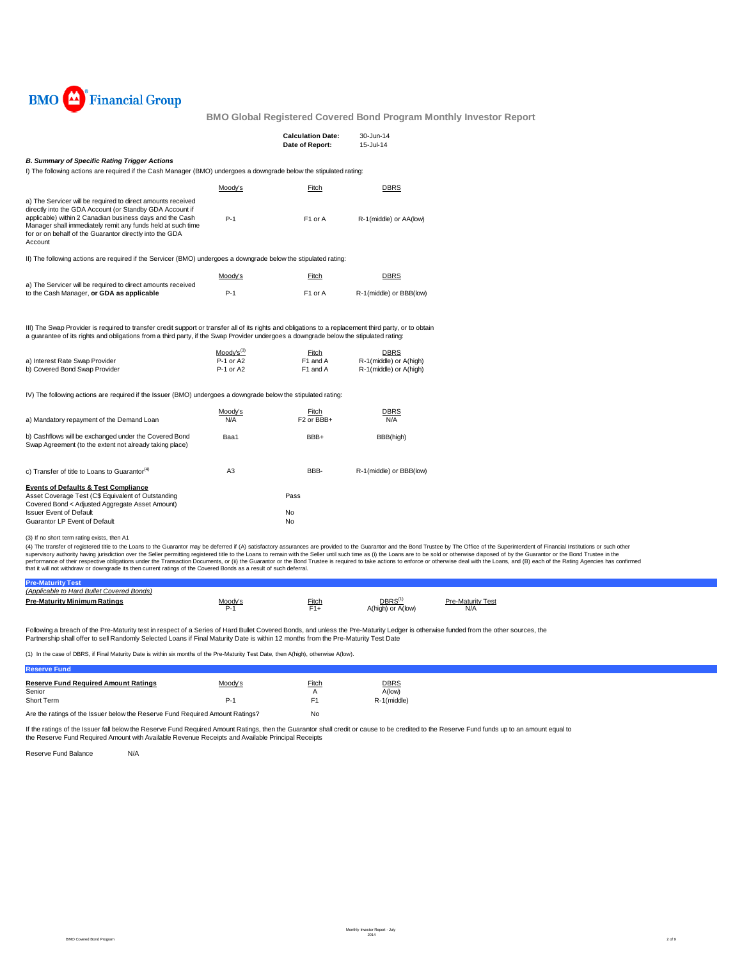

|                                                                                                                                                                                                                                                                                                                          |                                          | <b>Calculation Date:</b><br>Date of Report: | 30-Jun-14<br>15-Jul-14                                          |                                                                                                                                                                                                                                                                                                                                                                                                                                                                                                                                                                                                                                                                                                   |
|--------------------------------------------------------------------------------------------------------------------------------------------------------------------------------------------------------------------------------------------------------------------------------------------------------------------------|------------------------------------------|---------------------------------------------|-----------------------------------------------------------------|---------------------------------------------------------------------------------------------------------------------------------------------------------------------------------------------------------------------------------------------------------------------------------------------------------------------------------------------------------------------------------------------------------------------------------------------------------------------------------------------------------------------------------------------------------------------------------------------------------------------------------------------------------------------------------------------------|
| <b>B. Summary of Specific Rating Trigger Actions</b><br>I) The following actions are required if the Cash Manager (BMO) undergoes a downgrade below the stipulated rating:                                                                                                                                               |                                          |                                             |                                                                 |                                                                                                                                                                                                                                                                                                                                                                                                                                                                                                                                                                                                                                                                                                   |
|                                                                                                                                                                                                                                                                                                                          | Moody's                                  | Fitch                                       | <b>DBRS</b>                                                     |                                                                                                                                                                                                                                                                                                                                                                                                                                                                                                                                                                                                                                                                                                   |
| a) The Servicer will be required to direct amounts received<br>directly into the GDA Account (or Standby GDA Account if<br>applicable) within 2 Canadian business days and the Cash<br>Manager shall immediately remit any funds held at such time<br>for or on behalf of the Guarantor directly into the GDA<br>Account | $P-1$                                    | F <sub>1</sub> or A                         | R-1(middle) or AA(low)                                          |                                                                                                                                                                                                                                                                                                                                                                                                                                                                                                                                                                                                                                                                                                   |
| II) The following actions are required if the Servicer (BMO) undergoes a downgrade below the stipulated rating:                                                                                                                                                                                                          |                                          |                                             |                                                                 |                                                                                                                                                                                                                                                                                                                                                                                                                                                                                                                                                                                                                                                                                                   |
|                                                                                                                                                                                                                                                                                                                          | Moody's                                  | <b>Fitch</b>                                | <b>DBRS</b>                                                     |                                                                                                                                                                                                                                                                                                                                                                                                                                                                                                                                                                                                                                                                                                   |
| a) The Servicer will be required to direct amounts received<br>to the Cash Manager, or GDA as applicable                                                                                                                                                                                                                 | $P-1$                                    | F <sub>1</sub> or A                         | R-1(middle) or BBB(low)                                         |                                                                                                                                                                                                                                                                                                                                                                                                                                                                                                                                                                                                                                                                                                   |
| III) The Swap Provider is required to transfer credit support or transfer all of its rights and obligations to a replacement third party, or to obtain<br>a guarantee of its rights and obligations from a third party, if the Swap Provider undergoes a downgrade below the stipulated rating:                          |                                          |                                             |                                                                 |                                                                                                                                                                                                                                                                                                                                                                                                                                                                                                                                                                                                                                                                                                   |
| a) Interest Rate Swap Provider<br>b) Covered Bond Swap Provider                                                                                                                                                                                                                                                          | $Mody's^{(3)}$<br>P-1 or A2<br>P-1 or A2 | Fitch<br>F1 and A<br>F1 and A               | <b>DBRS</b><br>R-1(middle) or A(high)<br>R-1(middle) or A(high) |                                                                                                                                                                                                                                                                                                                                                                                                                                                                                                                                                                                                                                                                                                   |
| IV) The following actions are required if the Issuer (BMO) undergoes a downgrade below the stipulated rating:                                                                                                                                                                                                            |                                          |                                             |                                                                 |                                                                                                                                                                                                                                                                                                                                                                                                                                                                                                                                                                                                                                                                                                   |
| a) Mandatory repayment of the Demand Loan                                                                                                                                                                                                                                                                                | Moody's<br>N/A                           | Fitch<br>F <sub>2</sub> or BBB+             | <b>DBRS</b><br>N/A                                              |                                                                                                                                                                                                                                                                                                                                                                                                                                                                                                                                                                                                                                                                                                   |
| b) Cashflows will be exchanged under the Covered Bond<br>Swap Agreement (to the extent not already taking place)                                                                                                                                                                                                         | Baa1                                     | BBB+                                        | BBB(high)                                                       |                                                                                                                                                                                                                                                                                                                                                                                                                                                                                                                                                                                                                                                                                                   |
| c) Transfer of title to Loans to Guarantor <sup>(4)</sup>                                                                                                                                                                                                                                                                | A <sub>3</sub>                           | BBB-                                        | R-1(middle) or BBB(low)                                         |                                                                                                                                                                                                                                                                                                                                                                                                                                                                                                                                                                                                                                                                                                   |
| <b>Events of Defaults &amp; Test Compliance</b><br>Asset Coverage Test (C\$ Equivalent of Outstanding<br>Covered Bond < Adjusted Aggregate Asset Amount)                                                                                                                                                                 |                                          | Pass                                        |                                                                 |                                                                                                                                                                                                                                                                                                                                                                                                                                                                                                                                                                                                                                                                                                   |
| <b>Issuer Event of Default</b><br>Guarantor LP Event of Default                                                                                                                                                                                                                                                          |                                          | No<br>No                                    |                                                                 |                                                                                                                                                                                                                                                                                                                                                                                                                                                                                                                                                                                                                                                                                                   |
| (3) If no short term rating exists, then A1                                                                                                                                                                                                                                                                              |                                          |                                             |                                                                 |                                                                                                                                                                                                                                                                                                                                                                                                                                                                                                                                                                                                                                                                                                   |
| that it will not withdraw or downgrade its then current ratings of the Covered Bonds as a result of such deferral.                                                                                                                                                                                                       |                                          |                                             |                                                                 | (4) The transfer of registered title to the Loans to the Guarantor may be deferred if (A) satisfactory assurances are provided to the Guarantor and the Bond Trustee by The Office of the Superintendent of Financial Institut<br>supervisory authority having jurisdiction over the Seller permitting registered title to the Loans to remain with the Seller until such time as (i) the Loans are to be sold or otherwise disposed of by the Guarantor or the<br>performance of their respective obligations under the Transaction Documents, or (ii) the Guarantor or the Bond Trustee is required to take actions to enforce or otherwise deal with the Loans, and (B) each of the Rating Age |

| o Hard Bullet Covered Bonds)         |         |              |                    |                        |  |
|--------------------------------------|---------|--------------|--------------------|------------------------|--|
| Dro-M-<br>t <b>v Minimum Ratings</b> | Moody's | <u>Fitch</u> | DBRS <sup>(1</sup> | Maturity Test<br>Dro N |  |
|                                      | ັ້      | r 1 +        | A(high) or A(low)  | N/A                    |  |

Following a breach of the Pre-Maturity test in respect of a Series of Hard Bullet Covered Bonds, and unless the Pre-Maturity Ledger is otherwise funded from the other sources, the Partnership shall offer to sell Randomly Selected Loans if Final Maturity Date is within 12 months from the Pre-Maturity Test Date

(1) In the case of DBRS, if Final Maturity Date is within six months of the Pre-Maturity Test Date, then A(high), otherwise A(low).

| <b>Reserve Fund</b>                                                           |         |                |             |
|-------------------------------------------------------------------------------|---------|----------------|-------------|
| <b>Reserve Fund Required Amount Ratings</b>                                   | Moody's | <b>Fitch</b>   | <b>DBRS</b> |
| Senior                                                                        |         | А              | A(low)      |
| Short Term                                                                    | $P-1$   | F <sub>1</sub> | R-1(middle) |
| Are the ratings of the Issuer below the Reserve Fund Required Amount Ratings? | No      |                |             |

If the ratings of the Issuer fall below the Reserve Fund Required Amount Ratings, then the Guarantor shall credit or cause to be credited to the Reserve Fund funds up to an amount equal to the Reserve Fund Required Amount with Available Revenue Receipts and Available Principal Receipts

Reserve Fund Balance N/A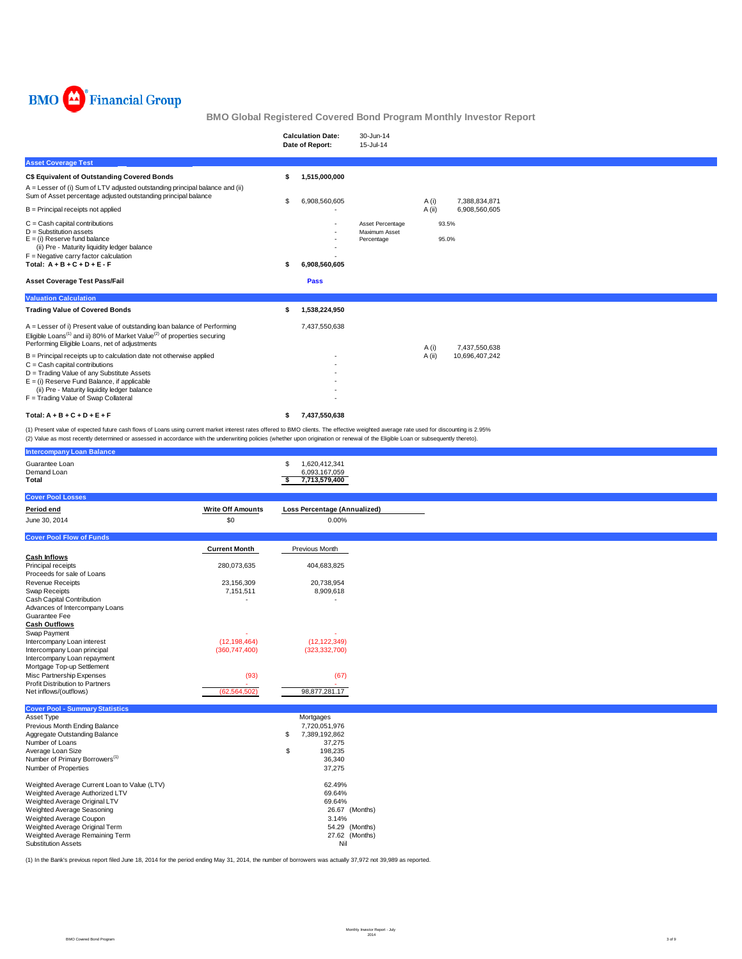

|                                                                                                                                                                                                                                                                                                                                                                              |    | <b>Calculation Date:</b><br>Date of Report:                                                                                                                                                                                                                                                                                                                                          | 30-Jun-14<br>15-Jul-14                          |       |                |  |  |  |
|------------------------------------------------------------------------------------------------------------------------------------------------------------------------------------------------------------------------------------------------------------------------------------------------------------------------------------------------------------------------------|----|--------------------------------------------------------------------------------------------------------------------------------------------------------------------------------------------------------------------------------------------------------------------------------------------------------------------------------------------------------------------------------------|-------------------------------------------------|-------|----------------|--|--|--|
| <b>Asset Coverage Test</b>                                                                                                                                                                                                                                                                                                                                                   |    |                                                                                                                                                                                                                                                                                                                                                                                      |                                                 |       |                |  |  |  |
| C\$ Equivalent of Outstanding Covered Bonds                                                                                                                                                                                                                                                                                                                                  | S  | 1,515,000,000                                                                                                                                                                                                                                                                                                                                                                        |                                                 |       |                |  |  |  |
| A = Lesser of (i) Sum of LTV adjusted outstanding principal balance and (ii)<br>Sum of Asset percentage adjusted outstanding principal balance                                                                                                                                                                                                                               | \$ | 6,908,560,605                                                                                                                                                                                                                                                                                                                                                                        |                                                 | A (i) | 7,388,834,871  |  |  |  |
| $B =$ Principal receipts not applied                                                                                                                                                                                                                                                                                                                                         |    |                                                                                                                                                                                                                                                                                                                                                                                      |                                                 | A(ii) | 6,908,560,605  |  |  |  |
| $C =$ Cash capital contributions<br>$D =$ Substitution assets<br>$E = (i)$ Reserve fund balance<br>(ii) Pre - Maturity liquidity ledger balance<br>$F = Neqative$ carry factor calculation<br>Total: $A + B + C + D + E - F$                                                                                                                                                 |    | 6,908,560,605                                                                                                                                                                                                                                                                                                                                                                        | Asset Percentage<br>Maximum Asset<br>Percentage |       | 93.5%<br>95.0% |  |  |  |
| <b>Asset Coverage Test Pass/Fail</b>                                                                                                                                                                                                                                                                                                                                         |    | Pass                                                                                                                                                                                                                                                                                                                                                                                 |                                                 |       |                |  |  |  |
| <b>Valuation Calculation</b>                                                                                                                                                                                                                                                                                                                                                 |    |                                                                                                                                                                                                                                                                                                                                                                                      |                                                 |       |                |  |  |  |
| <b>Trading Value of Covered Bonds</b>                                                                                                                                                                                                                                                                                                                                        |    | 1,538,224,950                                                                                                                                                                                                                                                                                                                                                                        |                                                 |       |                |  |  |  |
| A = Lesser of i) Present value of outstanding loan balance of Performing<br>Eligible Loans <sup>(1)</sup> and ii) 80% of Market Value <sup>(2)</sup> of properties securing<br>Performing Eligible Loans, net of adjustments                                                                                                                                                 |    | 7,437,550,638                                                                                                                                                                                                                                                                                                                                                                        |                                                 | A (i) | 7,437,550,638  |  |  |  |
| B = Principal receipts up to calculation date not otherwise applied<br>$C =$ Cash capital contributions                                                                                                                                                                                                                                                                      |    |                                                                                                                                                                                                                                                                                                                                                                                      |                                                 | A(ii) | 10,696,407,242 |  |  |  |
| D = Trading Value of any Substitute Assets<br>$E = (i)$ Reserve Fund Balance, if applicable<br>(ii) Pre - Maturity liquidity ledger balance                                                                                                                                                                                                                                  |    |                                                                                                                                                                                                                                                                                                                                                                                      |                                                 |       |                |  |  |  |
| F = Trading Value of Swap Collateral                                                                                                                                                                                                                                                                                                                                         |    |                                                                                                                                                                                                                                                                                                                                                                                      |                                                 |       |                |  |  |  |
| Total: $A + B + C + D + E + F$                                                                                                                                                                                                                                                                                                                                               | s  | 7,437,550,638                                                                                                                                                                                                                                                                                                                                                                        |                                                 |       |                |  |  |  |
| (1) Present value of expected future cash flows of Loans using current market interest rates offered to BMO clients. The effective weighted average rate used for discounting is 2.95%<br>(2) Value as most recently determined or assessed in accordance with the underwriting policies (whether upon origination or renewal of the Eligible Loan or subsequently thereto). |    |                                                                                                                                                                                                                                                                                                                                                                                      |                                                 |       |                |  |  |  |
| <b>Intercompany Loan Balance</b>                                                                                                                                                                                                                                                                                                                                             |    |                                                                                                                                                                                                                                                                                                                                                                                      |                                                 |       |                |  |  |  |
| $\sim$ $\sim$ $\sim$                                                                                                                                                                                                                                                                                                                                                         |    | $\overline{1}$ $\overline{0}$ $\overline{0}$ $\overline{0}$ $\overline{1}$ $\overline{1}$ $\overline{0}$ $\overline{0}$ $\overline{1}$ $\overline{1}$ $\overline{0}$ $\overline{1}$ $\overline{1}$ $\overline{0}$ $\overline{1}$ $\overline{1}$ $\overline{0}$ $\overline{1}$ $\overline{1}$ $\overline{0}$ $\overline{1}$ $\overline{1}$ $\overline{0}$ $\overline{1}$ $\overline{$ |                                                 |       |                |  |  |  |

(1) In the Bank's previous report filed June 18, 2014 for the period ending May 31, 2014, the number of borrowers was actually 37,972 not 39,989 as reported.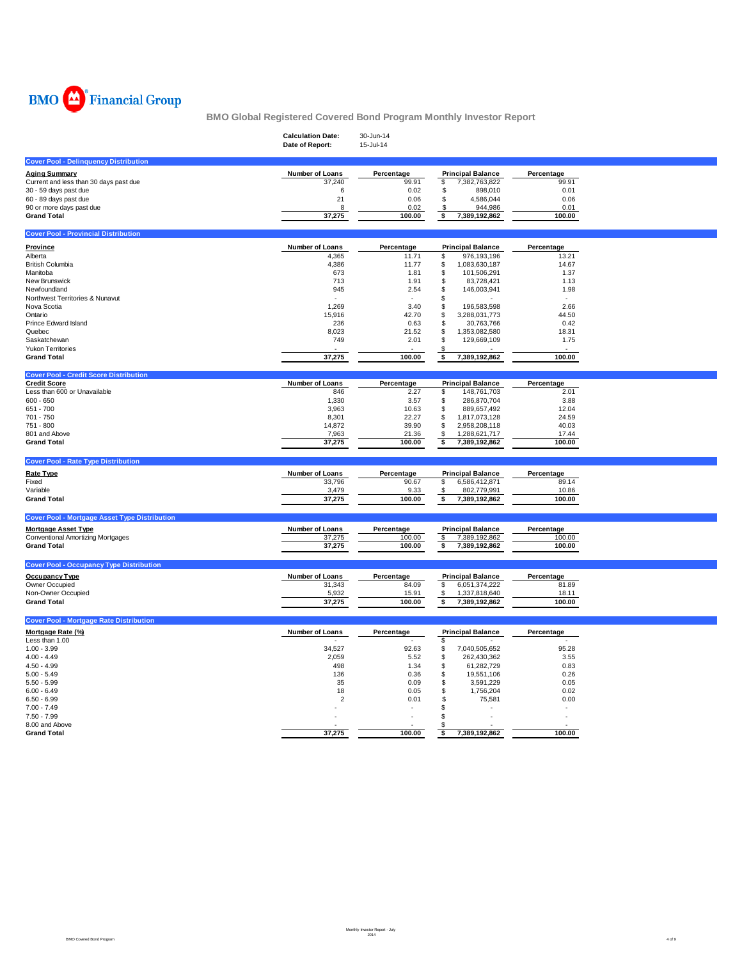

|                                                      | <b>Calculation Date:</b><br>Date of Report: | 30-Jun-14<br>15-Jul-14 |                                         |                 |  |
|------------------------------------------------------|---------------------------------------------|------------------------|-----------------------------------------|-----------------|--|
| <b>Cover Pool - Delinquency Distribution</b>         |                                             |                        |                                         |                 |  |
| <b>Aging Summary</b>                                 | Number of Loans                             | Percentage             | <b>Principal Balance</b>                | Percentage      |  |
| Current and less than 30 days past due               | 37,240                                      | 99.91                  | \$<br>7,382,763,822                     | 99.91           |  |
| 30 - 59 days past due<br>60 - 89 days past due       | 6<br>21                                     | 0.02<br>0.06           | \$<br>898,010<br>\$<br>4,586,044        | 0.01<br>0.06    |  |
| 90 or more days past due                             | 8                                           | 0.02                   | 944,986<br>\$                           | 0.01            |  |
| <b>Grand Total</b>                                   | 37,275                                      | 100.00                 | 7,389,192,862<br>\$                     | 100.00          |  |
| <b>Cover Pool - Provincial Distribution</b>          |                                             |                        |                                         |                 |  |
| Province                                             | Number of Loans                             | Percentage             | <b>Principal Balance</b>                | Percentage      |  |
| Alberta                                              | 4,365                                       | 11.71                  | 976,193,196<br>\$                       | 13.21           |  |
| <b>British Columbia</b>                              | 4,386                                       | 11.77                  | \$<br>1,083,630,187                     | 14.67           |  |
| Manitoba                                             | 673                                         | 1.81                   | \$<br>101,506,291                       | 1.37            |  |
| New Brunswick                                        | 713                                         | 1.91                   | \$<br>83,728,421                        | 1.13            |  |
| Newfoundland                                         | 945                                         | 2.54                   | \$<br>146,003,941                       | 1.98            |  |
| Northwest Territories & Nunavut                      |                                             |                        | \$                                      |                 |  |
| Nova Scotia                                          | 1,269                                       | 3.40                   | \$<br>196,583,598                       | 2.66            |  |
| Ontario<br>Prince Edward Island                      | 15,916<br>236                               | 42.70<br>0.63          | \$<br>3,288,031,773<br>\$<br>30,763,766 | 44.50<br>0.42   |  |
| Quebec                                               | 8,023                                       | 21.52                  | \$<br>1,353,082,580                     | 18.31           |  |
| Saskatchewan                                         | 749                                         | 2.01                   | \$<br>129,669,109                       | 1.75            |  |
| <b>Yukon Territories</b>                             |                                             |                        | \$.                                     |                 |  |
| <b>Grand Total</b>                                   | 37,275                                      | 100.00                 | \$<br>7,389,192,862                     | 100.00          |  |
| <b>Cover Pool - Credit Score Distribution</b>        |                                             |                        |                                         |                 |  |
| <b>Credit Score</b>                                  | Number of Loans                             | Percentage             | <b>Principal Balance</b>                | Percentage      |  |
| Less than 600 or Unavailable                         | 846                                         | 2.27                   | 148,761,703<br>\$                       | 2.01            |  |
| $600 - 650$                                          | 1,330                                       | 3.57                   | \$<br>286,870,704                       | 3.88            |  |
| 651 - 700                                            | 3,963                                       | 10.63                  | \$<br>889,657,492                       | 12.04           |  |
| 701 - 750                                            | 8,301                                       | 22.27                  | \$<br>1,817,073,128                     | 24.59           |  |
| 751 - 800                                            | 14,872                                      | 39.90                  | \$<br>2,958,208,118                     | 40.03           |  |
| 801 and Above<br><b>Grand Total</b>                  | 7,963                                       | 21.36<br>100.00        | \$<br>1,288,621,717                     | 17.44<br>100.00 |  |
|                                                      | 37,275                                      |                        | 7,389,192,862<br>\$                     |                 |  |
| <b>Cover Pool - Rate Type Distribution</b>           |                                             |                        |                                         |                 |  |
| Rate Type                                            | Number of Loans                             | Percentage             | <b>Principal Balance</b>                | Percentage      |  |
| Fixed                                                | 33,796                                      | 90.67                  | \$<br>6,586,412,871                     | 89.14           |  |
| Variable                                             | 3,479                                       | 9.33                   | \$<br>802,779,991                       | 10.86           |  |
| <b>Grand Total</b>                                   | 37,275                                      | 100.00                 | 7,389,192,862<br>\$                     | 100.00          |  |
| <b>Cover Pool - Mortgage Asset Type Distribution</b> |                                             |                        |                                         |                 |  |
| <b>Mortgage Asset Type</b>                           | Number of Loans                             | Percentage             | <b>Principal Balance</b>                | Percentage      |  |
| <b>Conventional Amortizing Mortgages</b>             | 37,275                                      | 100.00                 | \$<br>7,389,192,862                     | 100.00          |  |
| <b>Grand Total</b>                                   | 37,275                                      | 100.00                 | \$<br>7,389,192,862                     | 100.00          |  |
| <b>Cover Pool - Occupancy Type Distribution</b>      |                                             |                        |                                         |                 |  |
| Occupancy Type                                       | Number of Loans                             | Percentage             | <b>Principal Balance</b>                | Percentage      |  |
| Owner Occupied                                       | 31,343                                      | 84.09                  | \$<br>6,051,374,222                     | 81.89           |  |
| Non-Owner Occupied                                   | 5,932                                       | 15.91                  | \$<br>1,337,818,640                     | 18.11           |  |
| <b>Grand Total</b>                                   | 37,275                                      | 100.00                 | 7,389,192,862<br>\$                     | 100.00          |  |
| <b>Cover Pool - Mortgage Rate Distribution</b>       |                                             |                        |                                         |                 |  |
| Mortgage Rate (%)                                    | Number of Loans                             | Percentage             | <b>Principal Balance</b>                | Percentage      |  |
| Less than 1.00                                       |                                             |                        | \$                                      |                 |  |
| $1.00 - 3.99$                                        | 34,527                                      | 92.63                  | 7,040,505,652<br>\$                     | 95.28           |  |
| $4.00 - 4.49$                                        | 2,059                                       | 5.52                   | \$<br>262,430,362                       | 3.55            |  |
| $4.50 - 4.99$                                        | 498                                         | 1.34                   | \$<br>61,282,729                        | 0.83            |  |
| $5.00 - 5.49$<br>$5.50 - 5.99$                       | 136<br>35                                   | 0.36<br>0.09           | \$<br>19,551,106<br>\$<br>3,591,229     | 0.26<br>0.05    |  |
| $6.00 - 6.49$                                        | 18                                          | 0.05                   | \$<br>1,756,204                         | 0.02            |  |
| $6.50 - 6.99$                                        | $\overline{2}$                              | 0.01                   | \$<br>75,581                            | 0.00            |  |
| $7.00 - 7.49$                                        |                                             |                        | \$                                      |                 |  |
| $7.50 - 7.99$                                        |                                             |                        | \$<br>ł,                                |                 |  |
| 8.00 and Above                                       |                                             |                        | £.                                      |                 |  |
| <b>Grand Total</b>                                   | 37,275                                      | 100.00                 | 7,389,192,862<br>\$                     | 100.00          |  |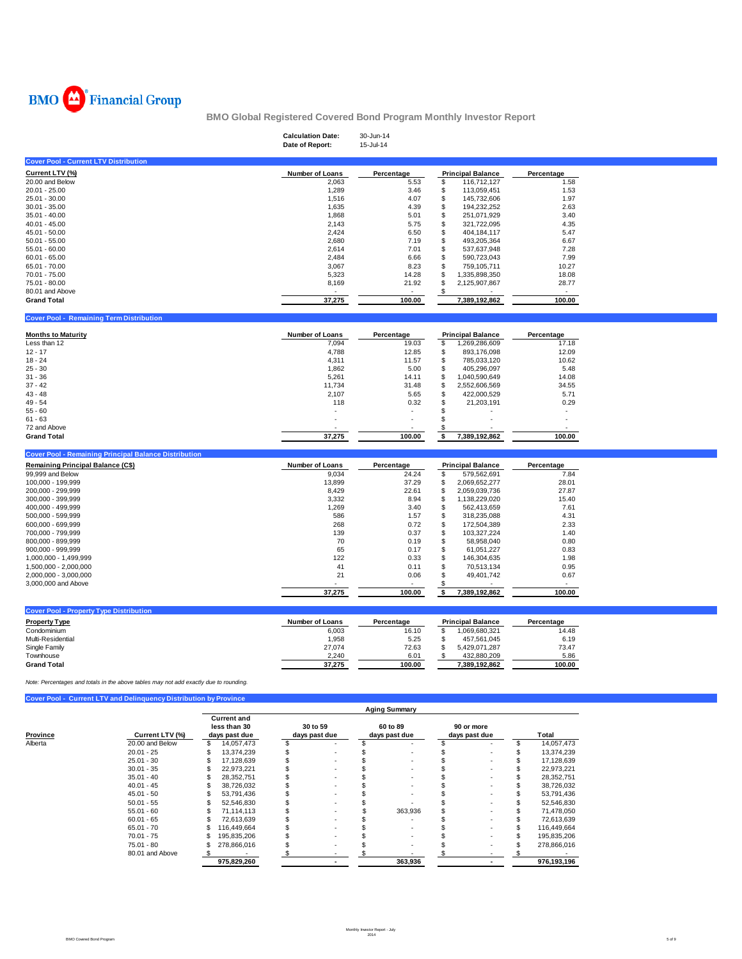

|                                                 |                                                                                       |                                | <b>Calculation Date:</b><br>Date of Report: | 30-Jun-14<br>15-Jul-14 |                                        |                                |  |
|-------------------------------------------------|---------------------------------------------------------------------------------------|--------------------------------|---------------------------------------------|------------------------|----------------------------------------|--------------------------------|--|
| <b>Cover Pool - Current LTV Distribution</b>    |                                                                                       |                                |                                             |                        |                                        |                                |  |
| Current LTV (%)                                 |                                                                                       |                                | <b>Number of Loans</b>                      | Percentage             | <b>Principal Balance</b>               | Percentage                     |  |
| 20.00 and Below                                 |                                                                                       |                                | 2,063                                       | 5.53                   | \$<br>116,712,127                      | 1.58                           |  |
| $20.01 - 25.00$                                 |                                                                                       |                                | 1,289                                       | 3.46                   | \$<br>113,059,451                      | 1.53                           |  |
| 25.01 - 30.00                                   |                                                                                       |                                | 1,516                                       | 4.07                   | \$<br>145,732,606                      | 1.97                           |  |
| $30.01 - 35.00$                                 |                                                                                       |                                | 1,635                                       | 4.39                   | \$<br>194,232,252                      | 2.63                           |  |
| $35.01 - 40.00$                                 |                                                                                       |                                | 1,868                                       | 5.01                   | \$<br>251,071,929                      | 3.40                           |  |
| $40.01 - 45.00$                                 |                                                                                       |                                | 2,143                                       | 5.75                   | \$<br>321,722,095                      | 4.35                           |  |
| $45.01 - 50.00$                                 |                                                                                       |                                | 2,424                                       | 6.50                   | \$<br>404,184,117                      | 5.47                           |  |
| $50.01 - 55.00$                                 |                                                                                       |                                | 2,680                                       | 7.19                   | \$<br>493,205,364                      | 6.67                           |  |
| $55.01 - 60.00$                                 |                                                                                       |                                | 2,614                                       | 7.01                   | \$<br>537,637,948                      | 7.28                           |  |
| $60.01 - 65.00$<br>65.01 - 70.00                |                                                                                       |                                | 2,484                                       | 6.66<br>8.23           | \$<br>590,723,043<br>\$                | 7.99<br>10.27                  |  |
| 70.01 - 75.00                                   |                                                                                       |                                | 3,067<br>5,323                              | 14.28                  | 759,105,711<br>\$<br>1,335,898,350     | 18.08                          |  |
| 75.01 - 80.00                                   |                                                                                       |                                | 8,169                                       | 21.92                  | \$<br>2,125,907,867                    | 28.77                          |  |
| 80.01 and Above                                 |                                                                                       |                                |                                             |                        | -\$                                    | $\sim$                         |  |
| <b>Grand Total</b>                              |                                                                                       |                                | 37,275                                      | 100.00                 | 7,389,192,862                          | 100.00                         |  |
|                                                 |                                                                                       |                                |                                             |                        |                                        |                                |  |
| <b>Cover Pool - Remaining Term Distribution</b> |                                                                                       |                                |                                             |                        |                                        |                                |  |
| <b>Months to Maturity</b>                       |                                                                                       |                                | <b>Number of Loans</b>                      | Percentage             | <b>Principal Balance</b>               | Percentage                     |  |
| Less than 12                                    |                                                                                       |                                | 7,094                                       | 19.03                  | \$<br>1,269,286,609                    | 17.18                          |  |
| $12 - 17$                                       |                                                                                       |                                | 4,788                                       | 12.85                  | \$<br>893,176,098                      | 12.09                          |  |
| $18 - 24$                                       |                                                                                       |                                | 4,311                                       | 11.57                  | \$<br>785,033,120                      | 10.62                          |  |
| $25 - 30$                                       |                                                                                       |                                | 1,862                                       | 5.00                   | \$<br>405,296,097                      | 5.48                           |  |
| $31 - 36$                                       |                                                                                       |                                | 5,261                                       | 14.11                  | \$<br>1,040,590,649                    | 14.08                          |  |
| $37 - 42$                                       |                                                                                       |                                | 11,734                                      | 31.48                  | \$<br>2,552,606,569                    | 34.55                          |  |
| 43 - 48                                         |                                                                                       |                                | 2,107                                       | 5.65                   | \$<br>422,000,529                      | 5.71                           |  |
| 49 - 54                                         |                                                                                       |                                | 118                                         | 0.32                   | \$<br>21,203,191                       | 0.29                           |  |
| $55 - 60$                                       |                                                                                       |                                |                                             |                        | \$                                     |                                |  |
| $61 - 63$                                       |                                                                                       |                                |                                             |                        | \$                                     | ٠                              |  |
| 72 and Above                                    |                                                                                       |                                |                                             |                        | \$                                     |                                |  |
| <b>Grand Total</b>                              |                                                                                       |                                | 37,275                                      | 100.00                 | 7,389,192,862<br>\$                    | 100.00                         |  |
|                                                 | <b>Cover Pool - Remaining Principal Balance Distribution</b>                          |                                |                                             |                        |                                        |                                |  |
| Remaining Principal Balance (C\$)               |                                                                                       |                                | <b>Number of Loans</b>                      | Percentage             | <b>Principal Balance</b>               | Percentage                     |  |
| 99,999 and Below                                |                                                                                       |                                | 9,034                                       | 24.24                  | \$<br>579,562,691                      | 7.84                           |  |
| 100,000 - 199,999                               |                                                                                       |                                | 13,899                                      | 37.29                  | \$<br>2,069,652,277                    | 28.01                          |  |
| 200,000 - 299,999                               |                                                                                       |                                | 8,429                                       | 22.61                  | \$<br>2,059,039,736                    | 27.87                          |  |
| 300,000 - 399,999                               |                                                                                       |                                | 3,332                                       | 8.94                   | \$<br>1,138,229,020                    | 15.40                          |  |
| 400,000 - 499,999                               |                                                                                       |                                | 1,269                                       | 3.40                   | \$<br>562,413,659                      | 7.61                           |  |
| 500,000 - 599,999                               |                                                                                       |                                | 586                                         | 1.57                   | \$<br>318,235,088                      | 4.31<br>2.33                   |  |
| 600,000 - 699,999<br>700,000 - 799,999          |                                                                                       |                                | 268<br>139                                  | 0.72<br>0.37           | \$<br>172,504,389<br>\$<br>103,327,224 | 1.40                           |  |
| 800,000 - 899,999                               |                                                                                       |                                | 70                                          | 0.19                   | \$<br>58,958,040                       | 0.80                           |  |
| 900,000 - 999,999                               |                                                                                       |                                | 65                                          | 0.17                   | \$<br>61,051,227                       | 0.83                           |  |
| 1,000,000 - 1,499,999                           |                                                                                       |                                | 122                                         | 0.33                   | \$<br>146,304,635                      | 1.98                           |  |
| 1,500,000 - 2,000,000                           |                                                                                       |                                | 41                                          | 0.11                   | \$<br>70,513,134                       | 0.95                           |  |
| 2,000,000 - 3,000,000                           |                                                                                       |                                | 21                                          | 0.06                   | \$<br>49,401,742                       | 0.67                           |  |
| 3,000,000 and Above                             |                                                                                       |                                |                                             |                        | \$                                     |                                |  |
|                                                 |                                                                                       |                                | 37,275                                      | 100.00                 | \$<br>7,389,192,862                    | 100.00                         |  |
| <b>Cover Pool - Property Type Distribution</b>  |                                                                                       |                                |                                             |                        |                                        |                                |  |
| <b>Property Type</b>                            |                                                                                       |                                | Number of Loans                             | Percentage             | <b>Principal Balance</b>               | Percentage                     |  |
| Condominium                                     |                                                                                       |                                | 6,003                                       | 16.10                  | \$<br>1,069,680,321                    | 14.48                          |  |
| Multi-Residential                               |                                                                                       |                                | 1,958                                       | 5.25                   | \$<br>457,561,045                      | 6.19                           |  |
| Single Family                                   |                                                                                       |                                | 27,074                                      | 72.63                  | \$<br>5,429,071,287                    | 73.47                          |  |
| Townhouse                                       |                                                                                       |                                | 2,240                                       | 6.01                   | \$<br>432,880,209                      | 5.86                           |  |
| <b>Grand Total</b>                              |                                                                                       |                                | 37,275                                      | 100.00                 | 7,389,192,862                          | 100.00                         |  |
|                                                 |                                                                                       |                                |                                             |                        |                                        |                                |  |
|                                                 | Note: Percentages and totals in the above tables may not add exactly due to rounding. |                                |                                             |                        |                                        |                                |  |
|                                                 | Cover Pool - Current LTV and Delinquency Distribution by Province                     |                                |                                             | <b>Aging Summary</b>   |                                        |                                |  |
|                                                 |                                                                                       | <b>Current and</b>             |                                             |                        |                                        |                                |  |
|                                                 |                                                                                       | less than 30                   | 30 to 59                                    | 60 to 89               | 90 or more                             |                                |  |
| <b>Province</b>                                 | Current LTV (%)                                                                       | days past due                  | days past due                               | days past due          | days past due                          | <b>Total</b>                   |  |
| Alberta                                         | 20.00 and Below                                                                       | \$<br>14,057,473               | \$                                          | \$                     | \$                                     | $\$$<br>14,057,473<br>\$       |  |
|                                                 | $20.01 - 25$<br>$25.01 - 30$                                                          | \$<br>13,374,239               | \$                                          | \$                     | \$                                     | 13,374,239                     |  |
|                                                 |                                                                                       | \$<br>17,128,639               | \$                                          | \$                     | \$                                     | \$<br>17,128,639               |  |
|                                                 | $30.01 - 35$                                                                          | \$<br>22,973,221               | \$                                          | \$                     | \$                                     | \$<br>22,973,221               |  |
|                                                 | $35.01 - 40$<br>$40.01 - 45$                                                          | \$<br>28,352,751<br>38,726,032 | \$<br>\$                                    | \$<br>\$               | \$                                     | \$<br>28,352,751<br>38,726,032 |  |
|                                                 | $45.01 - 50$                                                                          | \$<br>\$<br>53,791,436         | \$                                          | \$                     | \$<br>\$                               | \$<br>\$<br>53,791,436         |  |
|                                                 | $50.01 - 55$                                                                          | \$<br>52,546,830               | \$                                          | \$                     | \$                                     | \$<br>52,546,830               |  |
|                                                 | $55.01 - 60$                                                                          | \$<br>71,114,113               | \$                                          | 363,936<br>\$          | \$                                     | \$<br>71,478,050               |  |
|                                                 | $60.01 - 65$                                                                          | \$<br>72,613,639               | \$                                          | S                      | \$                                     | \$<br>72,613,639               |  |
|                                                 | $65.01 - 70$                                                                          | \$<br>116,449,664              | \$                                          | \$                     | \$                                     | \$<br>116,449,664              |  |
|                                                 | $70.01 - 75$                                                                          | \$<br>195,835,206              | \$                                          | \$                     | \$                                     | \$<br>195,835,206              |  |
|                                                 | 75.01 - 80                                                                            | 278,866,016<br>\$              | \$                                          | \$                     | \$                                     | 278,866,016<br>S               |  |

80.01 and Above <u>\$P75,829,260 \$P76,93,196 \$P76,193,196 \$P8,193,196 \$P8,193,196</u>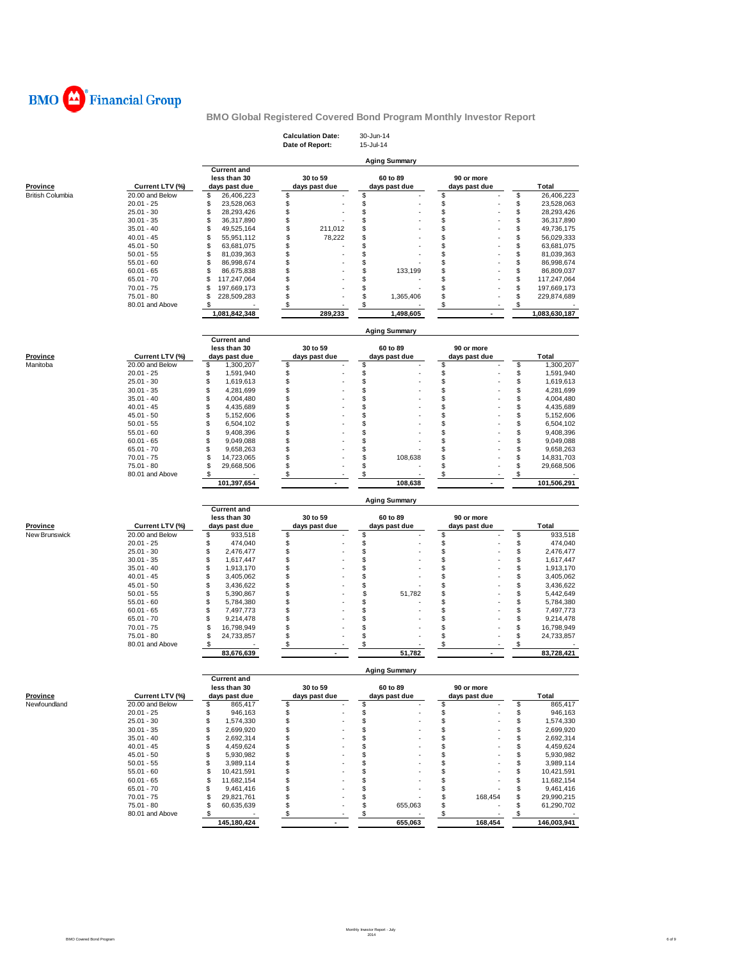

|                         |                               |                               | <b>Calculation Date:</b><br>Date of Report: | 30-Jun-14<br>15-Jul-14 |                          |                              |
|-------------------------|-------------------------------|-------------------------------|---------------------------------------------|------------------------|--------------------------|------------------------------|
|                         |                               |                               |                                             | <b>Aging Summary</b>   |                          |                              |
|                         |                               | <b>Current and</b>            | 30 to 59                                    | 60 to 89               | 90 or more               |                              |
| Province                | Current LTV (%)               | less than 30<br>days past due | days past due                               | days past due          | days past due            | Total                        |
| <b>British Columbia</b> | 20.00 and Below               | \$<br>26,406,223              | \$                                          | \$                     | \$                       | \$<br>26,406,223             |
|                         | $20.01 - 25$                  | 23,528,063<br>\$              | \$                                          | \$                     | \$                       | \$<br>23,528,063             |
|                         | $25.01 - 30$                  | \$<br>28,293,426              | \$                                          | \$                     | \$                       | \$<br>28,293,426             |
|                         | $30.01 - 35$                  | \$<br>36,317,890              | \$                                          | \$                     | \$                       | \$<br>36,317,890             |
|                         | $35.01 - 40$                  | \$<br>49,525,164              | \$<br>211,012                               | \$                     | \$                       | \$<br>49,736,175             |
|                         | $40.01 - 45$                  | \$<br>55,951,112              | \$<br>78,222                                | \$                     | \$                       | \$<br>56,029,333             |
|                         | $45.01 - 50$                  | \$<br>63,681,075              | \$                                          | \$                     | \$                       | \$<br>63,681,075             |
|                         | $50.01 - 55$                  | 81,039,363<br>\$              | \$                                          | \$                     | \$                       | \$<br>81,039,363             |
|                         | $55.01 - 60$                  | \$<br>86,998,674              | \$                                          | \$                     | \$                       | \$<br>86,998,674             |
|                         | $60.01 - 65$                  | \$<br>86,675,838              | \$                                          | \$<br>133,199          | \$                       | \$<br>86,809,037             |
|                         | $65.01 - 70$                  | 117,247,064<br>S              | \$                                          | \$                     | \$                       | \$<br>117,247,064            |
|                         | $70.01 - 75$                  | \$<br>197,669,173             | \$                                          | \$                     | \$                       | \$<br>197,669,173            |
|                         | $75.01 - 80$                  | S<br>228,509,283              | \$                                          | \$<br>1,365,406        | \$                       | \$<br>229,874,689            |
|                         | 80.01 and Above               |                               |                                             |                        |                          |                              |
|                         |                               | \$<br>1,081,842,348           | \$<br>289,233                               | \$<br>1,498,605        | \$                       | \$<br>1,083,630,187          |
|                         |                               |                               |                                             |                        |                          |                              |
|                         |                               | <b>Current and</b>            |                                             | <b>Aging Summary</b>   |                          |                              |
|                         |                               | less than 30                  | 30 to 59                                    | 60 to 89               | 90 or more               |                              |
| <b>Province</b>         | Current LTV (%)               | days past due                 | days past due                               | days past due          | days past due            | <b>Total</b>                 |
| Manitoba                | 20.00 and Below               | \$<br>1,300,207               | \$                                          | \$                     | \$                       | \$<br>1,300,207              |
|                         | $20.01 - 25$                  | \$<br>1,591,940               | \$                                          | \$                     | \$                       | \$<br>1,591,940              |
|                         | $25.01 - 30$                  | \$<br>1,619,613               | \$                                          | \$                     | \$                       | \$<br>1,619,613              |
|                         | $30.01 - 35$                  | \$<br>4,281,699               | \$                                          | \$                     | \$                       | \$<br>4,281,699              |
|                         | $35.01 - 40$                  | \$<br>4,004,480               | \$                                          | \$                     | \$                       | \$                           |
|                         |                               | \$                            | \$                                          | \$                     | \$                       | 4,004,480<br>\$              |
|                         | $40.01 - 45$                  | 4,435,689<br>\$               | \$                                          | \$                     | \$                       | 4,435,689<br>\$<br>5,152,606 |
|                         | $45.01 - 50$                  | 5,152,606                     |                                             |                        |                          |                              |
|                         | $50.01 - 55$                  | \$<br>6,504,102               | \$                                          | \$                     | \$                       | \$<br>6,504,102              |
|                         | $55.01 - 60$                  | \$<br>9,408,396               | \$                                          | \$                     | \$                       | \$<br>9,408,396              |
|                         | $60.01 - 65$                  | \$<br>9,049,088               | \$                                          | \$                     | \$                       | \$<br>9,049,088              |
|                         | $65.01 - 70$                  | \$<br>9,658,263               | \$                                          | \$                     | \$                       | \$<br>9,658,263              |
|                         | $70.01 - 75$                  | \$<br>14,723,065              | \$                                          | \$<br>108,638          | \$                       | \$<br>14,831,703             |
|                         | $75.01 - 80$                  | \$<br>29,668,506              | \$                                          | \$                     | \$                       | \$<br>29,668,506             |
|                         | 80.01 and Above               | \$                            | \$                                          | \$                     | \$                       | \$                           |
|                         |                               | 101,397,654                   | $\overline{a}$                              | 108,638                | $\blacksquare$           | 101,506,291                  |
|                         |                               | <b>Current and</b>            |                                             | <b>Aging Summary</b>   |                          |                              |
|                         |                               | less than 30                  | 30 to 59                                    | 60 to 89               | 90 or more               |                              |
| Province                | Current LTV (%)               | days past due                 | days past due                               | days past due          | days past due            | <b>Total</b>                 |
| New Brunswick           | 20.00 and Below               | \$<br>933,518                 | \$                                          | \$                     | \$                       | \$<br>933,518                |
|                         | $20.01 - 25$                  | \$<br>474,040                 | \$                                          | \$                     | \$                       | \$<br>474,040                |
|                         |                               |                               |                                             |                        |                          |                              |
|                         | $25.01 - 30$                  | \$<br>2,476,477               | \$                                          | \$                     | \$                       | \$<br>2,476,477              |
|                         | $30.01 - 35$                  | \$<br>1,617,447               | \$                                          | \$                     | \$                       | \$<br>1,617,447              |
|                         | $35.01 - 40$                  | \$<br>1,913,170               | \$                                          | \$                     | \$                       | \$<br>1,913,170              |
|                         | $40.01 - 45$                  | \$<br>3,405,062               | \$                                          | \$                     | \$                       | \$<br>3,405,062              |
|                         | $45.01 - 50$                  | \$<br>3,436,622               | \$                                          | \$                     | \$                       | \$<br>3,436,622              |
|                         | $50.01 - 55$                  | \$<br>5,390,867               | \$                                          | \$<br>51,782           | \$                       | \$<br>5,442,649              |
|                         | $55.01 - 60$                  | \$<br>5,784,380               | \$                                          | \$                     | \$                       | \$<br>5,784,380              |
|                         | $60.01 - 65$                  | \$<br>7,497,773               | \$                                          | \$                     | \$                       | \$<br>7,497,773              |
|                         | $65.01 - 70$                  | \$<br>9,214,478               | \$                                          | \$                     | \$                       | \$<br>9,214,478              |
|                         | $70.01 - 75$                  | \$<br>16,798,949              | \$                                          | \$                     | \$                       | \$<br>16,798,949             |
|                         | 75.01 - 80                    | \$<br>24,733,857              | \$                                          | \$                     | \$                       | \$<br>24,733,857             |
|                         | 80.01 and Above               | \$                            | \$                                          | \$                     | \$                       | \$                           |
|                         |                               | 83,676,639                    |                                             | 51,782                 | $\overline{\phantom{a}}$ | 83,728,421                   |
|                         |                               | <b>Current and</b>            |                                             | <b>Aging Summary</b>   |                          |                              |
|                         |                               | less than 30                  | 30 to 59                                    | 60 to 89               | 90 or more               |                              |
| <b>Province</b>         | Current LTV (%)               | days past due                 | days past due                               | days past due          | days past due            | Total                        |
| Newfoundland            | 20.00 and Below               | \$<br>865,417                 | \$                                          | \$                     | \$                       | \$<br>865,417                |
|                         | $20.01 - 25$                  | \$<br>946,163                 | \$                                          | \$                     | \$                       | \$<br>946,163                |
|                         | $25.01 - 30$                  | \$<br>1,574,330               | \$                                          | \$                     | \$                       | \$<br>1,574,330              |
|                         | $30.01 - 35$                  | \$<br>2,699,920               | \$                                          | \$                     | \$                       | \$<br>2,699,920              |
|                         | $35.01 - 40$                  | \$<br>2,692,314               | \$                                          | \$                     | \$                       | \$<br>2,692,314              |
|                         | $40.01 - 45$                  | \$<br>4,459,624               | \$                                          | \$                     | \$                       | \$<br>4,459,624              |
|                         | $45.01 - 50$                  | \$<br>5,930,982               | \$                                          | \$                     | \$                       | \$<br>5,930,982              |
|                         | $50.01 - 55$                  | \$<br>3,989,114               | \$                                          | \$                     | \$                       | \$<br>3,989,114              |
|                         |                               |                               | \$                                          |                        |                          |                              |
|                         | $55.01 - 60$                  | \$<br>10,421,591              |                                             | \$                     | \$                       | \$<br>10,421,591             |
|                         | $60.01 - 65$                  | \$<br>11,682,154              | \$                                          | \$                     | \$                       | \$<br>11,682,154             |
|                         | $65.01 - 70$                  | \$<br>9,461,416               | \$                                          | \$                     | \$                       | \$<br>9,461,416              |
|                         | $70.01 - 75$                  | \$<br>29,821,761              | \$                                          | \$                     | \$<br>168,454            | \$<br>29,990,215             |
|                         | 75.01 - 80<br>80.01 and Above | \$<br>60,635,639<br>\$        | \$<br>\$                                    | \$<br>655,063<br>\$    | \$<br>\$                 | \$<br>61,290,702<br>\$       |
|                         |                               | 145,180,424                   | $\overline{\phantom{a}}$                    | 655,063                | 168,454                  | 146,003,941                  |
|                         |                               |                               |                                             |                        |                          |                              |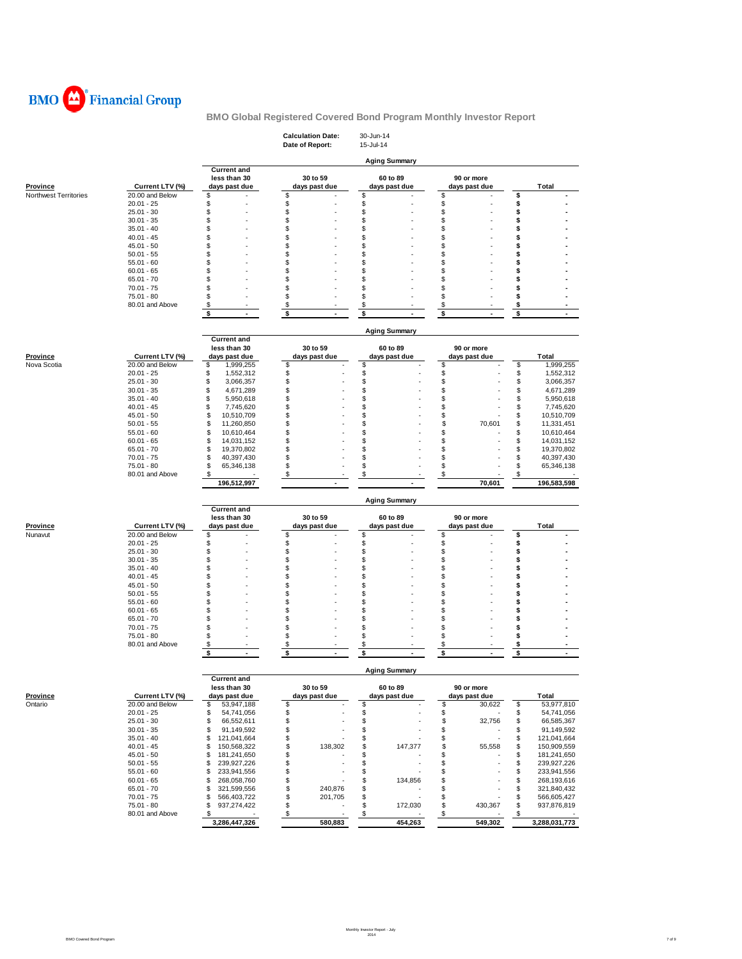

|                                          |                                    |                                        | <b>Calculation Date:</b><br>Date of Report: | 30-Jun-14<br>15-Jul-14    |                             |                                        |
|------------------------------------------|------------------------------------|----------------------------------------|---------------------------------------------|---------------------------|-----------------------------|----------------------------------------|
|                                          |                                    |                                        |                                             | <b>Aging Summary</b>      |                             |                                        |
|                                          |                                    | <b>Current and</b>                     |                                             |                           |                             |                                        |
|                                          |                                    | less than 30                           | 30 to 59                                    | 60 to 89                  | 90 or more                  |                                        |
| <b>Province</b><br>Northwest Territories | Current LTV (%)<br>20.00 and Below | days past due<br>S                     | days past due<br>\$                         | days past due<br>\$       | days past due<br>\$         | <b>Total</b><br>\$                     |
|                                          | $20.01 - 25$                       | S                                      | \$                                          | \$                        | \$                          | \$                                     |
|                                          | $25.01 - 30$                       | S                                      | \$                                          | \$                        | \$                          | \$                                     |
|                                          | $30.01 - 35$                       | S                                      | \$                                          | \$                        | \$                          | \$                                     |
|                                          | $35.01 - 40$                       | S                                      | \$                                          | \$                        | \$                          | \$                                     |
|                                          | $40.01 - 45$                       | S                                      | \$                                          | \$                        | \$                          | \$                                     |
|                                          | $45.01 - 50$                       | \$                                     | \$                                          | \$                        | \$                          | \$                                     |
|                                          | $50.01 - 55$                       | S                                      | \$                                          | \$                        | \$                          | \$                                     |
|                                          | $55.01 - 60$                       | S                                      | \$                                          | \$                        | \$                          | \$                                     |
|                                          | $60.01 - 65$                       | S                                      | \$                                          | \$                        | \$                          | \$                                     |
|                                          | $65.01 - 70$                       | S                                      | \$                                          | \$                        | \$                          | \$                                     |
|                                          | $70.01 - 75$                       | S                                      | \$                                          | \$                        | \$                          | \$                                     |
|                                          | 75.01 - 80                         | S                                      | \$                                          | \$                        | \$                          | \$                                     |
|                                          | 80.01 and Above                    | \$                                     | \$                                          | \$                        | \$                          | \$                                     |
|                                          |                                    | \$<br>$\blacksquare$                   | \$<br>$\overline{\phantom{a}}$              | \$<br>÷                   | \$<br>$\blacksquare$        | \$                                     |
|                                          |                                    |                                        |                                             | <b>Aging Summary</b>      |                             |                                        |
|                                          |                                    | <b>Current and</b>                     |                                             |                           |                             |                                        |
| <b>Province</b>                          | Current LTV (%)                    | less than 30<br>days past due          | 30 to 59<br>days past due                   | 60 to 89<br>days past due | 90 or more<br>days past due | Total                                  |
| Nova Scotia                              | 20.00 and Below                    | \$<br>1,999,255                        | \$                                          | \$                        | \$                          | \$<br>1,999,255                        |
|                                          | $20.01 - 25$                       | \$<br>1,552,312                        | \$                                          | \$                        | \$                          | \$<br>1,552,312                        |
|                                          | $25.01 - 30$                       | \$<br>3,066,357                        | \$                                          | \$                        | \$                          | \$<br>3,066,357                        |
|                                          | $30.01 - 35$                       | \$<br>4,671,289                        | \$                                          | \$                        | \$                          | \$<br>4,671,289                        |
|                                          | $35.01 - 40$                       | \$<br>5,950,618                        | \$                                          | \$                        | \$                          | \$<br>5,950,618                        |
|                                          | $40.01 - 45$                       | \$<br>7,745,620                        | \$                                          | \$                        | \$                          | \$<br>7,745,620                        |
|                                          | $45.01 - 50$                       | \$<br>10,510,709                       | \$                                          | \$                        | \$                          | \$<br>10,510,709                       |
|                                          | $50.01 - 55$                       | \$<br>11,260,850                       | \$                                          | \$                        | \$<br>70,601                | \$<br>11,331,451                       |
|                                          | $55.01 - 60$                       | \$<br>10,610,464                       | \$                                          | \$                        | \$                          | \$<br>10,610,464                       |
|                                          | $60.01 - 65$                       | \$<br>14,031,152                       | \$                                          | \$                        | \$                          | \$<br>14,031,152                       |
|                                          | $65.01 - 70$                       | \$<br>19,370,802                       | \$                                          | \$                        | \$                          | \$<br>19,370,802                       |
|                                          | $70.01 - 75$                       | \$<br>40,397,430                       | \$                                          | \$                        | \$                          | \$<br>40,397,430                       |
|                                          | 75.01 - 80                         | \$<br>65,346,138                       | \$                                          | \$                        | \$                          | \$<br>65,346,138                       |
|                                          | 80.01 and Above                    | \$                                     | \$                                          | \$                        | \$                          | \$                                     |
|                                          |                                    | 196,512,997                            |                                             |                           | 70,601                      | 196,583,598                            |
|                                          |                                    |                                        |                                             | <b>Aging Summary</b>      |                             |                                        |
|                                          |                                    | <b>Current and</b><br>less than 30     | 30 to 59                                    | 60 to 89                  | 90 or more                  |                                        |
| Province                                 | Current LTV (%)                    | days past due                          | days past due                               | days past due             | days past due               | Total                                  |
| Nunavut                                  | 20.00 and Below                    | \$                                     | \$                                          | \$                        | \$                          | \$                                     |
|                                          | $20.01 - 25$                       | S                                      | \$                                          | \$                        | \$                          | \$                                     |
|                                          | $25.01 - 30$                       | \$                                     | \$                                          | \$                        | \$                          | \$                                     |
|                                          | $30.01 - 35$                       | S                                      | \$                                          | \$                        | \$                          | \$                                     |
|                                          | $35.01 - 40$                       | S                                      | \$                                          | \$                        | \$                          | \$                                     |
|                                          | $40.01 - 45$                       | S                                      | \$                                          | \$                        | \$                          | \$                                     |
|                                          | $45.01 - 50$                       | S                                      | \$                                          | \$                        | \$                          | \$                                     |
|                                          | $50.01 - 55$                       | S                                      | \$                                          | \$                        | \$                          | \$                                     |
|                                          | $55.01 - 60$                       | \$                                     | \$                                          | \$                        | \$                          | \$                                     |
|                                          | $60.01 - 65$                       | S                                      | \$                                          | \$                        | \$                          | \$                                     |
|                                          | $65.01 - 70$                       | S                                      | \$                                          | \$                        | \$                          | \$                                     |
|                                          | $70.01 - 75$                       | \$                                     | \$                                          | \$                        | \$                          | \$                                     |
|                                          | 75.01 - 80<br>80.01 and Above      | S                                      | \$                                          | \$<br>\$                  | \$<br>\$                    | \$<br>\$                               |
|                                          |                                    | \$<br>\$<br>$\blacksquare$             | \$<br>\$<br>ä,                              | \$<br>÷,                  | \$<br>$\blacksquare$        | \$<br>$\blacksquare$                   |
|                                          |                                    |                                        |                                             |                           |                             |                                        |
|                                          |                                    | <b>Current and</b>                     |                                             | <b>Aging Summary</b>      |                             |                                        |
|                                          |                                    | less than 30                           | 30 to 59                                    | 60 to 89                  | 90 or more                  |                                        |
| <b>Province</b>                          | Current LTV (%)                    | days past due                          | days past due                               | days past due             | days past due               | Total                                  |
| Ontario                                  | 20.00 and Below                    | \$<br>53,947,188                       | \$                                          | \$                        | \$<br>30,622                | \$<br>53,977,810                       |
|                                          | $20.01 - 25$                       | 54,741,056<br>\$                       | \$                                          | \$                        | \$                          | \$<br>54,741,056                       |
|                                          | $25.01 - 30$                       | \$<br>66,552,611                       | \$                                          | \$                        | \$<br>32,756                | \$<br>66,585,367                       |
|                                          | $30.01 - 35$                       | \$<br>91,149,592                       | \$                                          | \$                        | \$                          | \$<br>91,149,592                       |
|                                          | $35.01 - 40$                       | \$<br>121,041,664                      | \$                                          | \$                        | \$                          | \$<br>121,041,664                      |
|                                          | $40.01 - 45$                       | 150,568,322<br>\$                      | \$<br>138,302                               | \$<br>147,377             | \$<br>55,558                | \$<br>150,909,559                      |
|                                          | $45.01 - 50$                       | 181,241,650<br>\$                      | \$                                          | \$                        | \$                          | \$<br>181,241,650                      |
|                                          | $50.01 - 55$                       | \$<br>239,927,226                      | \$                                          | \$                        | \$                          | \$<br>239,927,226                      |
|                                          | $55.01 - 60$<br>$60.01 - 65$       | 233,941,556<br>\$<br>268,058,760<br>\$ | \$<br>\$                                    | \$<br>\$                  | \$<br>\$                    | \$<br>233,941,556<br>\$<br>268,193,616 |
|                                          | $65.01 - 70$                       | \$<br>321,599,556                      | \$<br>240,876                               | 134,856<br>\$             | \$                          | \$<br>321,840,432                      |
|                                          | $70.01 - 75$                       | 566,403,722<br>\$                      | \$<br>201,705                               | \$                        | \$                          | \$<br>566,605,427                      |
|                                          | 75.01 - 80                         | 937,274,422<br>\$                      | \$                                          | \$<br>172,030             | \$<br>430,367               | \$<br>937,876,819                      |
|                                          | 80.01 and Above                    | \$                                     | $\sqrt{3}$                                  | $\boldsymbol{\mathsf{S}}$ | $\sqrt{2}$                  | \$                                     |
|                                          |                                    | 3,286,447,326                          | 580,883                                     | 454,263                   | 549,302                     | 3,288,031,773                          |
|                                          |                                    |                                        |                                             |                           |                             |                                        |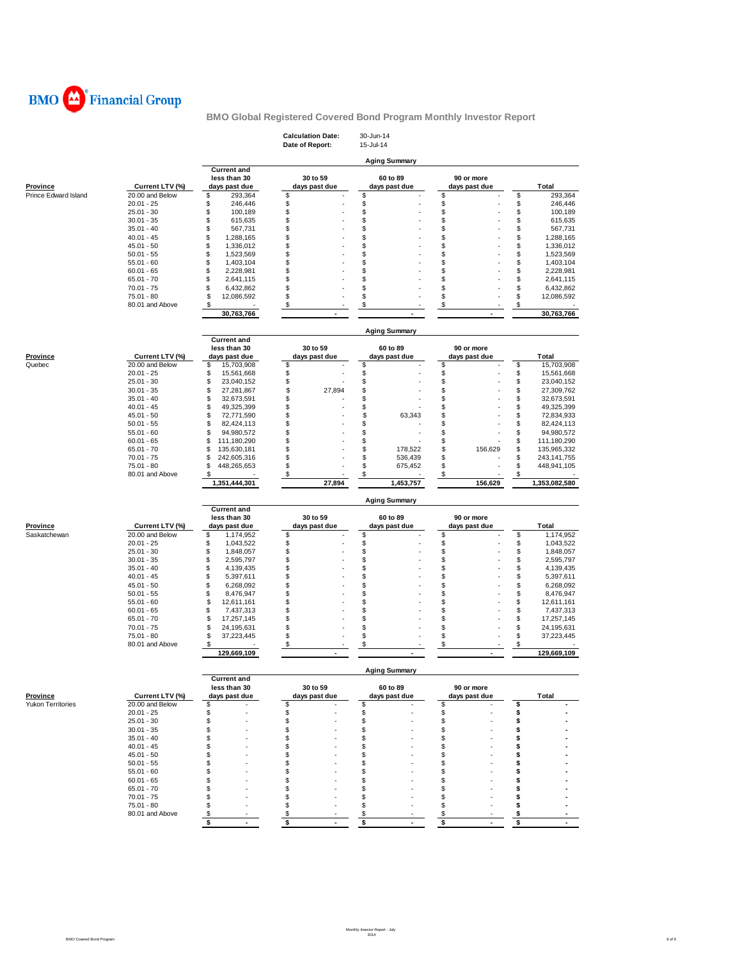

| <b>Aging Summary</b><br><b>Current and</b><br>less than 30<br>30 to 59<br>60 to 89<br>90 or more<br>Current LTV (%)<br>days past due<br><b>Province</b><br>days past due<br>days past due<br>days past due<br>Total<br>\$<br>20.00 and Below<br>\$<br>293,364<br>\$<br>\$<br>\$<br>293.364<br>\$<br>\$<br>\$<br>\$<br>$20.01 - 25$<br>\$<br>246,446<br>246,446<br>\$<br>\$<br>\$<br>\$<br>$25.01 - 30$<br>\$<br>100,189<br>100,189<br>\$<br>\$<br>\$<br>$30.01 - 35$<br>\$<br>615,635<br>\$<br>615,635<br>\$<br>\$<br>\$<br>\$<br>\$<br>$35.01 - 40$<br>567,731<br>567,731<br>\$<br>\$<br>\$<br>$40.01 - 45$<br>\$<br>\$<br>1,288,165<br>1,288,165<br>\$<br>\$<br>1,336,012<br>\$<br>\$<br>\$<br>$45.01 - 50$<br>1,336,012<br>\$<br>\$<br>\$<br>\$<br>\$<br>$50.01 - 55$<br>1,523,569<br>1,523,569<br>\$<br>\$<br>\$<br>\$<br>$55.01 - 60$<br>\$<br>1,403,104<br>1,403,104<br>\$<br>\$<br>\$<br>\$<br>\$<br>$60.01 - 65$<br>2,228,981<br>2,228,981<br>\$<br>\$<br>\$<br>\$<br>\$<br>$65.01 - 70$<br>2,641,115<br>2,641,115<br>$70.01 - 75$<br>\$<br>\$<br>\$<br>\$<br>\$<br>6,432,862<br>6,432,862<br>\$<br>\$<br>\$<br>\$<br>\$<br>75.01 - 80<br>12,086,592<br>12,086,592<br>\$<br>\$<br>\$<br>\$<br>\$<br>80.01 and Above<br>30,763,766<br>30,763,766<br>٠<br><b>Aging Summary</b><br><b>Current and</b><br>less than 30<br>30 to 59<br>60 to 89<br>90 or more<br>Current LTV (%)<br>Total<br><b>Province</b><br>days past due<br>days past due<br>days past due<br>days past due<br>\$<br>\$<br>\$<br>\$<br>\$<br>20.00 and Below<br>Quebec<br>15,703,908<br>15,703,908<br>\$<br>\$<br>$20.01 - 25$<br>\$<br>\$<br>\$<br>15,561,668<br>15,561,668<br>\$<br>\$<br>\$<br>$25.01 - 30$<br>\$<br>\$<br>23,040,152<br>23,040,152<br>\$<br>\$<br>\$<br>\$<br>\$<br>27,894<br>$30.01 - 35$<br>27,281,867<br>27,309,762<br>\$<br>\$<br>\$<br>\$<br>\$<br>$35.01 - 40$<br>32,673,591<br>32,673,591<br>\$<br>\$<br>\$<br>\$<br>\$<br>$40.01 - 45$<br>49,325,399<br>49,325,399<br>\$<br>\$<br>$45.01 - 50$<br>\$<br>\$<br>63,343<br>\$<br>72,771,590<br>72,834,933<br>\$<br>\$<br>\$<br>\$<br>\$<br>$50.01 - 55$<br>82,424,113<br>82,424,113<br>\$<br>\$<br>\$<br>\$<br>\$<br>$55.01 - 60$<br>94,980,572<br>94,980,572<br>\$<br>\$<br>\$<br>S<br>\$<br>$60.01 - 65$<br>111,180,290<br>111,180,290<br>\$<br>\$<br>\$<br>S<br>156,629<br>\$<br>$65.01 - 70$<br>135,630,181<br>178,522<br>135,965,332<br>\$<br>\$<br>\$<br>\$<br>$70.01 - 75$<br>\$<br>242,605,316<br>536,439<br>243,141,755<br>\$<br>\$<br>\$<br>\$<br>$75.01 - 80$<br>\$<br>675,452<br>448,941,105<br>448,265,653<br>\$<br>\$<br>\$<br>\$<br>80.01 and Above<br>\$<br>27,894<br>156,629<br>1,351,444,301<br>1,453,757<br>1,353,082,580<br><b>Aging Summary</b><br><b>Current and</b><br>less than 30<br>30 to 59<br>60 to 89<br>90 or more<br>Province<br>Current LTV (%)<br>days past due<br>days past due<br>days past due<br>days past due<br><b>Total</b><br>\$<br>\$<br>\$<br>\$<br>Saskatchewan<br>20.00 and Below<br>\$<br>1,174,952<br>1,174,952<br>\$<br>\$<br>\$<br>\$<br>$20.01 - 25$<br>\$<br>1,043,522<br>1,043,522<br>\$<br>\$<br>\$<br>\$<br>$25.01 - 30$<br>\$<br>1,848,057<br>1,848,057<br>\$<br>\$<br>\$<br>\$<br>\$<br>$30.01 - 35$<br>2,595,797<br>2,595,797<br>\$<br>\$<br>\$<br>\$<br>\$<br>$35.01 - 40$<br>4,139,435<br>4,139,435<br>\$<br>$40.01 - 45$<br>\$<br>\$<br>\$<br>\$<br>5,397,611<br>5,397,611<br>\$<br>\$<br>\$<br>\$<br>\$<br>$45.01 - 50$<br>6,268,092<br>6,268,092<br>\$<br>\$<br>\$<br>\$<br>\$<br>$50.01 - 55$<br>8,476,947<br>8,476,947<br>\$<br>\$<br>\$<br>\$<br>\$<br>$55.01 - 60$<br>12,611,161<br>12,611,161<br>\$<br>\$<br>\$<br>\$<br>\$<br>$60.01 - 65$<br>7,437,313<br>7,437,313<br>\$<br>\$<br>\$<br>\$<br>\$<br>$65.01 - 70$<br>17,257,145<br>17,257,145<br>$70.01 - 75$<br>\$<br>\$<br>\$<br>\$<br>\$<br>24,195,631<br>24,195,631<br>\$<br>$75.01 - 80$<br>\$<br>\$<br>\$<br>\$<br>37,223,445<br>37,223,445<br>80.01 and Above<br>\$<br>\$<br>\$<br>\$<br>\$<br>129,669,109<br>129,669,109<br><b>Aging Summary</b><br><b>Current and</b><br>less than 30<br>30 to 59<br>60 to 89<br>90 or more<br>Current LTV (%)<br>days past due<br>days past due<br>days past due<br>days past due<br>Total<br>Yukon Territories<br>20.00 and Below<br>\$<br>\$<br>\$<br>\$<br>\$<br>$20.01 - 25$<br>\$<br>\$<br>\$<br>\$<br>\$<br>\$<br>\$<br>$25.01 - 30$<br>\$<br>S<br>\$<br>$30.01 - 35$<br>\$<br>\$<br>\$<br>\$<br>\$<br>$35.01 - 40$<br>\$<br>\$<br>S<br>\$<br>\$<br>\$<br>\$<br>$40.01 - 45$<br>\$<br>\$<br>\$<br>\$<br>\$<br>$45.01 - 50$<br>\$<br>\$<br>\$<br>\$<br>\$<br>$50.01 - 55$<br>\$<br>\$<br>S<br>\$<br>\$<br>S<br>$55.01 - 60$<br>\$<br>S<br>\$<br>\$<br>$60.01 - 65$<br>S<br>\$<br>S<br>\$<br>\$<br>$65.01 - 70$<br>S<br>\$<br>S<br>\$<br>\$<br>$70.01 - 75$<br>\$<br>\$<br>\$<br>\$<br>\$<br>75.01 - 80<br>\$<br>\$<br>\$<br>\$<br>80.01 and Above<br>\$<br>\$<br>\$<br>\$<br>\$<br>\$<br>\$<br>\$<br>\$<br>$\blacksquare$<br>$\blacksquare$<br>$\blacksquare$<br>$\blacksquare$<br>$\blacksquare$ |                      |  | <b>Calculation Date:</b><br>Date of Report: | 30-Jun-14<br>15-Jul-14 |  |
|------------------------------------------------------------------------------------------------------------------------------------------------------------------------------------------------------------------------------------------------------------------------------------------------------------------------------------------------------------------------------------------------------------------------------------------------------------------------------------------------------------------------------------------------------------------------------------------------------------------------------------------------------------------------------------------------------------------------------------------------------------------------------------------------------------------------------------------------------------------------------------------------------------------------------------------------------------------------------------------------------------------------------------------------------------------------------------------------------------------------------------------------------------------------------------------------------------------------------------------------------------------------------------------------------------------------------------------------------------------------------------------------------------------------------------------------------------------------------------------------------------------------------------------------------------------------------------------------------------------------------------------------------------------------------------------------------------------------------------------------------------------------------------------------------------------------------------------------------------------------------------------------------------------------------------------------------------------------------------------------------------------------------------------------------------------------------------------------------------------------------------------------------------------------------------------------------------------------------------------------------------------------------------------------------------------------------------------------------------------------------------------------------------------------------------------------------------------------------------------------------------------------------------------------------------------------------------------------------------------------------------------------------------------------------------------------------------------------------------------------------------------------------------------------------------------------------------------------------------------------------------------------------------------------------------------------------------------------------------------------------------------------------------------------------------------------------------------------------------------------------------------------------------------------------------------------------------------------------------------------------------------------------------------------------------------------------------------------------------------------------------------------------------------------------------------------------------------------------------------------------------------------------------------------------------------------------------------------------------------------------------------------------------------------------------------------------------------------------------------------------------------------------------------------------------------------------------------------------------------------------------------------------------------------------------------------------------------------------------------------------------------------------------------------------------------------------------------------------------------------------------------------------------------------------------------------------------------------------------------------------------------------------------------------------------------------------------------------------------------------------------------------------------------------------------------------------------------------------------------------------------------------------------------------------------------------------------------------------------------------------------------------------------------------------------------------------------------------------------------------------------------------------------------------------------------------------------------------------------------------------------------------------------------------------------------------------------------------------------------------------------------------|----------------------|--|---------------------------------------------|------------------------|--|
|                                                                                                                                                                                                                                                                                                                                                                                                                                                                                                                                                                                                                                                                                                                                                                                                                                                                                                                                                                                                                                                                                                                                                                                                                                                                                                                                                                                                                                                                                                                                                                                                                                                                                                                                                                                                                                                                                                                                                                                                                                                                                                                                                                                                                                                                                                                                                                                                                                                                                                                                                                                                                                                                                                                                                                                                                                                                                                                                                                                                                                                                                                                                                                                                                                                                                                                                                                                                                                                                                                                                                                                                                                                                                                                                                                                                                                                                                                                                                                                                                                                                                                                                                                                                                                                                                                                                                                                                                                                                                                                                                                                                                                                                                                                                                                                                                                                                                                                                                                                                                        |                      |  |                                             |                        |  |
|                                                                                                                                                                                                                                                                                                                                                                                                                                                                                                                                                                                                                                                                                                                                                                                                                                                                                                                                                                                                                                                                                                                                                                                                                                                                                                                                                                                                                                                                                                                                                                                                                                                                                                                                                                                                                                                                                                                                                                                                                                                                                                                                                                                                                                                                                                                                                                                                                                                                                                                                                                                                                                                                                                                                                                                                                                                                                                                                                                                                                                                                                                                                                                                                                                                                                                                                                                                                                                                                                                                                                                                                                                                                                                                                                                                                                                                                                                                                                                                                                                                                                                                                                                                                                                                                                                                                                                                                                                                                                                                                                                                                                                                                                                                                                                                                                                                                                                                                                                                                                        |                      |  |                                             |                        |  |
|                                                                                                                                                                                                                                                                                                                                                                                                                                                                                                                                                                                                                                                                                                                                                                                                                                                                                                                                                                                                                                                                                                                                                                                                                                                                                                                                                                                                                                                                                                                                                                                                                                                                                                                                                                                                                                                                                                                                                                                                                                                                                                                                                                                                                                                                                                                                                                                                                                                                                                                                                                                                                                                                                                                                                                                                                                                                                                                                                                                                                                                                                                                                                                                                                                                                                                                                                                                                                                                                                                                                                                                                                                                                                                                                                                                                                                                                                                                                                                                                                                                                                                                                                                                                                                                                                                                                                                                                                                                                                                                                                                                                                                                                                                                                                                                                                                                                                                                                                                                                                        | Prince Edward Island |  |                                             |                        |  |
|                                                                                                                                                                                                                                                                                                                                                                                                                                                                                                                                                                                                                                                                                                                                                                                                                                                                                                                                                                                                                                                                                                                                                                                                                                                                                                                                                                                                                                                                                                                                                                                                                                                                                                                                                                                                                                                                                                                                                                                                                                                                                                                                                                                                                                                                                                                                                                                                                                                                                                                                                                                                                                                                                                                                                                                                                                                                                                                                                                                                                                                                                                                                                                                                                                                                                                                                                                                                                                                                                                                                                                                                                                                                                                                                                                                                                                                                                                                                                                                                                                                                                                                                                                                                                                                                                                                                                                                                                                                                                                                                                                                                                                                                                                                                                                                                                                                                                                                                                                                                                        |                      |  |                                             |                        |  |
|                                                                                                                                                                                                                                                                                                                                                                                                                                                                                                                                                                                                                                                                                                                                                                                                                                                                                                                                                                                                                                                                                                                                                                                                                                                                                                                                                                                                                                                                                                                                                                                                                                                                                                                                                                                                                                                                                                                                                                                                                                                                                                                                                                                                                                                                                                                                                                                                                                                                                                                                                                                                                                                                                                                                                                                                                                                                                                                                                                                                                                                                                                                                                                                                                                                                                                                                                                                                                                                                                                                                                                                                                                                                                                                                                                                                                                                                                                                                                                                                                                                                                                                                                                                                                                                                                                                                                                                                                                                                                                                                                                                                                                                                                                                                                                                                                                                                                                                                                                                                                        |                      |  |                                             |                        |  |
|                                                                                                                                                                                                                                                                                                                                                                                                                                                                                                                                                                                                                                                                                                                                                                                                                                                                                                                                                                                                                                                                                                                                                                                                                                                                                                                                                                                                                                                                                                                                                                                                                                                                                                                                                                                                                                                                                                                                                                                                                                                                                                                                                                                                                                                                                                                                                                                                                                                                                                                                                                                                                                                                                                                                                                                                                                                                                                                                                                                                                                                                                                                                                                                                                                                                                                                                                                                                                                                                                                                                                                                                                                                                                                                                                                                                                                                                                                                                                                                                                                                                                                                                                                                                                                                                                                                                                                                                                                                                                                                                                                                                                                                                                                                                                                                                                                                                                                                                                                                                                        |                      |  |                                             |                        |  |
|                                                                                                                                                                                                                                                                                                                                                                                                                                                                                                                                                                                                                                                                                                                                                                                                                                                                                                                                                                                                                                                                                                                                                                                                                                                                                                                                                                                                                                                                                                                                                                                                                                                                                                                                                                                                                                                                                                                                                                                                                                                                                                                                                                                                                                                                                                                                                                                                                                                                                                                                                                                                                                                                                                                                                                                                                                                                                                                                                                                                                                                                                                                                                                                                                                                                                                                                                                                                                                                                                                                                                                                                                                                                                                                                                                                                                                                                                                                                                                                                                                                                                                                                                                                                                                                                                                                                                                                                                                                                                                                                                                                                                                                                                                                                                                                                                                                                                                                                                                                                                        |                      |  |                                             |                        |  |
|                                                                                                                                                                                                                                                                                                                                                                                                                                                                                                                                                                                                                                                                                                                                                                                                                                                                                                                                                                                                                                                                                                                                                                                                                                                                                                                                                                                                                                                                                                                                                                                                                                                                                                                                                                                                                                                                                                                                                                                                                                                                                                                                                                                                                                                                                                                                                                                                                                                                                                                                                                                                                                                                                                                                                                                                                                                                                                                                                                                                                                                                                                                                                                                                                                                                                                                                                                                                                                                                                                                                                                                                                                                                                                                                                                                                                                                                                                                                                                                                                                                                                                                                                                                                                                                                                                                                                                                                                                                                                                                                                                                                                                                                                                                                                                                                                                                                                                                                                                                                                        |                      |  |                                             |                        |  |
|                                                                                                                                                                                                                                                                                                                                                                                                                                                                                                                                                                                                                                                                                                                                                                                                                                                                                                                                                                                                                                                                                                                                                                                                                                                                                                                                                                                                                                                                                                                                                                                                                                                                                                                                                                                                                                                                                                                                                                                                                                                                                                                                                                                                                                                                                                                                                                                                                                                                                                                                                                                                                                                                                                                                                                                                                                                                                                                                                                                                                                                                                                                                                                                                                                                                                                                                                                                                                                                                                                                                                                                                                                                                                                                                                                                                                                                                                                                                                                                                                                                                                                                                                                                                                                                                                                                                                                                                                                                                                                                                                                                                                                                                                                                                                                                                                                                                                                                                                                                                                        |                      |  |                                             |                        |  |
|                                                                                                                                                                                                                                                                                                                                                                                                                                                                                                                                                                                                                                                                                                                                                                                                                                                                                                                                                                                                                                                                                                                                                                                                                                                                                                                                                                                                                                                                                                                                                                                                                                                                                                                                                                                                                                                                                                                                                                                                                                                                                                                                                                                                                                                                                                                                                                                                                                                                                                                                                                                                                                                                                                                                                                                                                                                                                                                                                                                                                                                                                                                                                                                                                                                                                                                                                                                                                                                                                                                                                                                                                                                                                                                                                                                                                                                                                                                                                                                                                                                                                                                                                                                                                                                                                                                                                                                                                                                                                                                                                                                                                                                                                                                                                                                                                                                                                                                                                                                                                        |                      |  |                                             |                        |  |
|                                                                                                                                                                                                                                                                                                                                                                                                                                                                                                                                                                                                                                                                                                                                                                                                                                                                                                                                                                                                                                                                                                                                                                                                                                                                                                                                                                                                                                                                                                                                                                                                                                                                                                                                                                                                                                                                                                                                                                                                                                                                                                                                                                                                                                                                                                                                                                                                                                                                                                                                                                                                                                                                                                                                                                                                                                                                                                                                                                                                                                                                                                                                                                                                                                                                                                                                                                                                                                                                                                                                                                                                                                                                                                                                                                                                                                                                                                                                                                                                                                                                                                                                                                                                                                                                                                                                                                                                                                                                                                                                                                                                                                                                                                                                                                                                                                                                                                                                                                                                                        |                      |  |                                             |                        |  |
|                                                                                                                                                                                                                                                                                                                                                                                                                                                                                                                                                                                                                                                                                                                                                                                                                                                                                                                                                                                                                                                                                                                                                                                                                                                                                                                                                                                                                                                                                                                                                                                                                                                                                                                                                                                                                                                                                                                                                                                                                                                                                                                                                                                                                                                                                                                                                                                                                                                                                                                                                                                                                                                                                                                                                                                                                                                                                                                                                                                                                                                                                                                                                                                                                                                                                                                                                                                                                                                                                                                                                                                                                                                                                                                                                                                                                                                                                                                                                                                                                                                                                                                                                                                                                                                                                                                                                                                                                                                                                                                                                                                                                                                                                                                                                                                                                                                                                                                                                                                                                        |                      |  |                                             |                        |  |
|                                                                                                                                                                                                                                                                                                                                                                                                                                                                                                                                                                                                                                                                                                                                                                                                                                                                                                                                                                                                                                                                                                                                                                                                                                                                                                                                                                                                                                                                                                                                                                                                                                                                                                                                                                                                                                                                                                                                                                                                                                                                                                                                                                                                                                                                                                                                                                                                                                                                                                                                                                                                                                                                                                                                                                                                                                                                                                                                                                                                                                                                                                                                                                                                                                                                                                                                                                                                                                                                                                                                                                                                                                                                                                                                                                                                                                                                                                                                                                                                                                                                                                                                                                                                                                                                                                                                                                                                                                                                                                                                                                                                                                                                                                                                                                                                                                                                                                                                                                                                                        |                      |  |                                             |                        |  |
|                                                                                                                                                                                                                                                                                                                                                                                                                                                                                                                                                                                                                                                                                                                                                                                                                                                                                                                                                                                                                                                                                                                                                                                                                                                                                                                                                                                                                                                                                                                                                                                                                                                                                                                                                                                                                                                                                                                                                                                                                                                                                                                                                                                                                                                                                                                                                                                                                                                                                                                                                                                                                                                                                                                                                                                                                                                                                                                                                                                                                                                                                                                                                                                                                                                                                                                                                                                                                                                                                                                                                                                                                                                                                                                                                                                                                                                                                                                                                                                                                                                                                                                                                                                                                                                                                                                                                                                                                                                                                                                                                                                                                                                                                                                                                                                                                                                                                                                                                                                                                        |                      |  |                                             |                        |  |
|                                                                                                                                                                                                                                                                                                                                                                                                                                                                                                                                                                                                                                                                                                                                                                                                                                                                                                                                                                                                                                                                                                                                                                                                                                                                                                                                                                                                                                                                                                                                                                                                                                                                                                                                                                                                                                                                                                                                                                                                                                                                                                                                                                                                                                                                                                                                                                                                                                                                                                                                                                                                                                                                                                                                                                                                                                                                                                                                                                                                                                                                                                                                                                                                                                                                                                                                                                                                                                                                                                                                                                                                                                                                                                                                                                                                                                                                                                                                                                                                                                                                                                                                                                                                                                                                                                                                                                                                                                                                                                                                                                                                                                                                                                                                                                                                                                                                                                                                                                                                                        |                      |  |                                             |                        |  |
|                                                                                                                                                                                                                                                                                                                                                                                                                                                                                                                                                                                                                                                                                                                                                                                                                                                                                                                                                                                                                                                                                                                                                                                                                                                                                                                                                                                                                                                                                                                                                                                                                                                                                                                                                                                                                                                                                                                                                                                                                                                                                                                                                                                                                                                                                                                                                                                                                                                                                                                                                                                                                                                                                                                                                                                                                                                                                                                                                                                                                                                                                                                                                                                                                                                                                                                                                                                                                                                                                                                                                                                                                                                                                                                                                                                                                                                                                                                                                                                                                                                                                                                                                                                                                                                                                                                                                                                                                                                                                                                                                                                                                                                                                                                                                                                                                                                                                                                                                                                                                        |                      |  |                                             |                        |  |
|                                                                                                                                                                                                                                                                                                                                                                                                                                                                                                                                                                                                                                                                                                                                                                                                                                                                                                                                                                                                                                                                                                                                                                                                                                                                                                                                                                                                                                                                                                                                                                                                                                                                                                                                                                                                                                                                                                                                                                                                                                                                                                                                                                                                                                                                                                                                                                                                                                                                                                                                                                                                                                                                                                                                                                                                                                                                                                                                                                                                                                                                                                                                                                                                                                                                                                                                                                                                                                                                                                                                                                                                                                                                                                                                                                                                                                                                                                                                                                                                                                                                                                                                                                                                                                                                                                                                                                                                                                                                                                                                                                                                                                                                                                                                                                                                                                                                                                                                                                                                                        |                      |  |                                             |                        |  |
|                                                                                                                                                                                                                                                                                                                                                                                                                                                                                                                                                                                                                                                                                                                                                                                                                                                                                                                                                                                                                                                                                                                                                                                                                                                                                                                                                                                                                                                                                                                                                                                                                                                                                                                                                                                                                                                                                                                                                                                                                                                                                                                                                                                                                                                                                                                                                                                                                                                                                                                                                                                                                                                                                                                                                                                                                                                                                                                                                                                                                                                                                                                                                                                                                                                                                                                                                                                                                                                                                                                                                                                                                                                                                                                                                                                                                                                                                                                                                                                                                                                                                                                                                                                                                                                                                                                                                                                                                                                                                                                                                                                                                                                                                                                                                                                                                                                                                                                                                                                                                        |                      |  |                                             |                        |  |
|                                                                                                                                                                                                                                                                                                                                                                                                                                                                                                                                                                                                                                                                                                                                                                                                                                                                                                                                                                                                                                                                                                                                                                                                                                                                                                                                                                                                                                                                                                                                                                                                                                                                                                                                                                                                                                                                                                                                                                                                                                                                                                                                                                                                                                                                                                                                                                                                                                                                                                                                                                                                                                                                                                                                                                                                                                                                                                                                                                                                                                                                                                                                                                                                                                                                                                                                                                                                                                                                                                                                                                                                                                                                                                                                                                                                                                                                                                                                                                                                                                                                                                                                                                                                                                                                                                                                                                                                                                                                                                                                                                                                                                                                                                                                                                                                                                                                                                                                                                                                                        |                      |  |                                             |                        |  |
|                                                                                                                                                                                                                                                                                                                                                                                                                                                                                                                                                                                                                                                                                                                                                                                                                                                                                                                                                                                                                                                                                                                                                                                                                                                                                                                                                                                                                                                                                                                                                                                                                                                                                                                                                                                                                                                                                                                                                                                                                                                                                                                                                                                                                                                                                                                                                                                                                                                                                                                                                                                                                                                                                                                                                                                                                                                                                                                                                                                                                                                                                                                                                                                                                                                                                                                                                                                                                                                                                                                                                                                                                                                                                                                                                                                                                                                                                                                                                                                                                                                                                                                                                                                                                                                                                                                                                                                                                                                                                                                                                                                                                                                                                                                                                                                                                                                                                                                                                                                                                        |                      |  |                                             |                        |  |
|                                                                                                                                                                                                                                                                                                                                                                                                                                                                                                                                                                                                                                                                                                                                                                                                                                                                                                                                                                                                                                                                                                                                                                                                                                                                                                                                                                                                                                                                                                                                                                                                                                                                                                                                                                                                                                                                                                                                                                                                                                                                                                                                                                                                                                                                                                                                                                                                                                                                                                                                                                                                                                                                                                                                                                                                                                                                                                                                                                                                                                                                                                                                                                                                                                                                                                                                                                                                                                                                                                                                                                                                                                                                                                                                                                                                                                                                                                                                                                                                                                                                                                                                                                                                                                                                                                                                                                                                                                                                                                                                                                                                                                                                                                                                                                                                                                                                                                                                                                                                                        |                      |  |                                             |                        |  |
|                                                                                                                                                                                                                                                                                                                                                                                                                                                                                                                                                                                                                                                                                                                                                                                                                                                                                                                                                                                                                                                                                                                                                                                                                                                                                                                                                                                                                                                                                                                                                                                                                                                                                                                                                                                                                                                                                                                                                                                                                                                                                                                                                                                                                                                                                                                                                                                                                                                                                                                                                                                                                                                                                                                                                                                                                                                                                                                                                                                                                                                                                                                                                                                                                                                                                                                                                                                                                                                                                                                                                                                                                                                                                                                                                                                                                                                                                                                                                                                                                                                                                                                                                                                                                                                                                                                                                                                                                                                                                                                                                                                                                                                                                                                                                                                                                                                                                                                                                                                                                        |                      |  |                                             |                        |  |
|                                                                                                                                                                                                                                                                                                                                                                                                                                                                                                                                                                                                                                                                                                                                                                                                                                                                                                                                                                                                                                                                                                                                                                                                                                                                                                                                                                                                                                                                                                                                                                                                                                                                                                                                                                                                                                                                                                                                                                                                                                                                                                                                                                                                                                                                                                                                                                                                                                                                                                                                                                                                                                                                                                                                                                                                                                                                                                                                                                                                                                                                                                                                                                                                                                                                                                                                                                                                                                                                                                                                                                                                                                                                                                                                                                                                                                                                                                                                                                                                                                                                                                                                                                                                                                                                                                                                                                                                                                                                                                                                                                                                                                                                                                                                                                                                                                                                                                                                                                                                                        |                      |  |                                             |                        |  |
|                                                                                                                                                                                                                                                                                                                                                                                                                                                                                                                                                                                                                                                                                                                                                                                                                                                                                                                                                                                                                                                                                                                                                                                                                                                                                                                                                                                                                                                                                                                                                                                                                                                                                                                                                                                                                                                                                                                                                                                                                                                                                                                                                                                                                                                                                                                                                                                                                                                                                                                                                                                                                                                                                                                                                                                                                                                                                                                                                                                                                                                                                                                                                                                                                                                                                                                                                                                                                                                                                                                                                                                                                                                                                                                                                                                                                                                                                                                                                                                                                                                                                                                                                                                                                                                                                                                                                                                                                                                                                                                                                                                                                                                                                                                                                                                                                                                                                                                                                                                                                        |                      |  |                                             |                        |  |
|                                                                                                                                                                                                                                                                                                                                                                                                                                                                                                                                                                                                                                                                                                                                                                                                                                                                                                                                                                                                                                                                                                                                                                                                                                                                                                                                                                                                                                                                                                                                                                                                                                                                                                                                                                                                                                                                                                                                                                                                                                                                                                                                                                                                                                                                                                                                                                                                                                                                                                                                                                                                                                                                                                                                                                                                                                                                                                                                                                                                                                                                                                                                                                                                                                                                                                                                                                                                                                                                                                                                                                                                                                                                                                                                                                                                                                                                                                                                                                                                                                                                                                                                                                                                                                                                                                                                                                                                                                                                                                                                                                                                                                                                                                                                                                                                                                                                                                                                                                                                                        |                      |  |                                             |                        |  |
|                                                                                                                                                                                                                                                                                                                                                                                                                                                                                                                                                                                                                                                                                                                                                                                                                                                                                                                                                                                                                                                                                                                                                                                                                                                                                                                                                                                                                                                                                                                                                                                                                                                                                                                                                                                                                                                                                                                                                                                                                                                                                                                                                                                                                                                                                                                                                                                                                                                                                                                                                                                                                                                                                                                                                                                                                                                                                                                                                                                                                                                                                                                                                                                                                                                                                                                                                                                                                                                                                                                                                                                                                                                                                                                                                                                                                                                                                                                                                                                                                                                                                                                                                                                                                                                                                                                                                                                                                                                                                                                                                                                                                                                                                                                                                                                                                                                                                                                                                                                                                        |                      |  |                                             |                        |  |
|                                                                                                                                                                                                                                                                                                                                                                                                                                                                                                                                                                                                                                                                                                                                                                                                                                                                                                                                                                                                                                                                                                                                                                                                                                                                                                                                                                                                                                                                                                                                                                                                                                                                                                                                                                                                                                                                                                                                                                                                                                                                                                                                                                                                                                                                                                                                                                                                                                                                                                                                                                                                                                                                                                                                                                                                                                                                                                                                                                                                                                                                                                                                                                                                                                                                                                                                                                                                                                                                                                                                                                                                                                                                                                                                                                                                                                                                                                                                                                                                                                                                                                                                                                                                                                                                                                                                                                                                                                                                                                                                                                                                                                                                                                                                                                                                                                                                                                                                                                                                                        |                      |  |                                             |                        |  |
|                                                                                                                                                                                                                                                                                                                                                                                                                                                                                                                                                                                                                                                                                                                                                                                                                                                                                                                                                                                                                                                                                                                                                                                                                                                                                                                                                                                                                                                                                                                                                                                                                                                                                                                                                                                                                                                                                                                                                                                                                                                                                                                                                                                                                                                                                                                                                                                                                                                                                                                                                                                                                                                                                                                                                                                                                                                                                                                                                                                                                                                                                                                                                                                                                                                                                                                                                                                                                                                                                                                                                                                                                                                                                                                                                                                                                                                                                                                                                                                                                                                                                                                                                                                                                                                                                                                                                                                                                                                                                                                                                                                                                                                                                                                                                                                                                                                                                                                                                                                                                        |                      |  |                                             |                        |  |
|                                                                                                                                                                                                                                                                                                                                                                                                                                                                                                                                                                                                                                                                                                                                                                                                                                                                                                                                                                                                                                                                                                                                                                                                                                                                                                                                                                                                                                                                                                                                                                                                                                                                                                                                                                                                                                                                                                                                                                                                                                                                                                                                                                                                                                                                                                                                                                                                                                                                                                                                                                                                                                                                                                                                                                                                                                                                                                                                                                                                                                                                                                                                                                                                                                                                                                                                                                                                                                                                                                                                                                                                                                                                                                                                                                                                                                                                                                                                                                                                                                                                                                                                                                                                                                                                                                                                                                                                                                                                                                                                                                                                                                                                                                                                                                                                                                                                                                                                                                                                                        |                      |  |                                             |                        |  |
|                                                                                                                                                                                                                                                                                                                                                                                                                                                                                                                                                                                                                                                                                                                                                                                                                                                                                                                                                                                                                                                                                                                                                                                                                                                                                                                                                                                                                                                                                                                                                                                                                                                                                                                                                                                                                                                                                                                                                                                                                                                                                                                                                                                                                                                                                                                                                                                                                                                                                                                                                                                                                                                                                                                                                                                                                                                                                                                                                                                                                                                                                                                                                                                                                                                                                                                                                                                                                                                                                                                                                                                                                                                                                                                                                                                                                                                                                                                                                                                                                                                                                                                                                                                                                                                                                                                                                                                                                                                                                                                                                                                                                                                                                                                                                                                                                                                                                                                                                                                                                        |                      |  |                                             |                        |  |
|                                                                                                                                                                                                                                                                                                                                                                                                                                                                                                                                                                                                                                                                                                                                                                                                                                                                                                                                                                                                                                                                                                                                                                                                                                                                                                                                                                                                                                                                                                                                                                                                                                                                                                                                                                                                                                                                                                                                                                                                                                                                                                                                                                                                                                                                                                                                                                                                                                                                                                                                                                                                                                                                                                                                                                                                                                                                                                                                                                                                                                                                                                                                                                                                                                                                                                                                                                                                                                                                                                                                                                                                                                                                                                                                                                                                                                                                                                                                                                                                                                                                                                                                                                                                                                                                                                                                                                                                                                                                                                                                                                                                                                                                                                                                                                                                                                                                                                                                                                                                                        |                      |  |                                             |                        |  |
|                                                                                                                                                                                                                                                                                                                                                                                                                                                                                                                                                                                                                                                                                                                                                                                                                                                                                                                                                                                                                                                                                                                                                                                                                                                                                                                                                                                                                                                                                                                                                                                                                                                                                                                                                                                                                                                                                                                                                                                                                                                                                                                                                                                                                                                                                                                                                                                                                                                                                                                                                                                                                                                                                                                                                                                                                                                                                                                                                                                                                                                                                                                                                                                                                                                                                                                                                                                                                                                                                                                                                                                                                                                                                                                                                                                                                                                                                                                                                                                                                                                                                                                                                                                                                                                                                                                                                                                                                                                                                                                                                                                                                                                                                                                                                                                                                                                                                                                                                                                                                        |                      |  |                                             |                        |  |
|                                                                                                                                                                                                                                                                                                                                                                                                                                                                                                                                                                                                                                                                                                                                                                                                                                                                                                                                                                                                                                                                                                                                                                                                                                                                                                                                                                                                                                                                                                                                                                                                                                                                                                                                                                                                                                                                                                                                                                                                                                                                                                                                                                                                                                                                                                                                                                                                                                                                                                                                                                                                                                                                                                                                                                                                                                                                                                                                                                                                                                                                                                                                                                                                                                                                                                                                                                                                                                                                                                                                                                                                                                                                                                                                                                                                                                                                                                                                                                                                                                                                                                                                                                                                                                                                                                                                                                                                                                                                                                                                                                                                                                                                                                                                                                                                                                                                                                                                                                                                                        |                      |  |                                             |                        |  |
|                                                                                                                                                                                                                                                                                                                                                                                                                                                                                                                                                                                                                                                                                                                                                                                                                                                                                                                                                                                                                                                                                                                                                                                                                                                                                                                                                                                                                                                                                                                                                                                                                                                                                                                                                                                                                                                                                                                                                                                                                                                                                                                                                                                                                                                                                                                                                                                                                                                                                                                                                                                                                                                                                                                                                                                                                                                                                                                                                                                                                                                                                                                                                                                                                                                                                                                                                                                                                                                                                                                                                                                                                                                                                                                                                                                                                                                                                                                                                                                                                                                                                                                                                                                                                                                                                                                                                                                                                                                                                                                                                                                                                                                                                                                                                                                                                                                                                                                                                                                                                        |                      |  |                                             |                        |  |
|                                                                                                                                                                                                                                                                                                                                                                                                                                                                                                                                                                                                                                                                                                                                                                                                                                                                                                                                                                                                                                                                                                                                                                                                                                                                                                                                                                                                                                                                                                                                                                                                                                                                                                                                                                                                                                                                                                                                                                                                                                                                                                                                                                                                                                                                                                                                                                                                                                                                                                                                                                                                                                                                                                                                                                                                                                                                                                                                                                                                                                                                                                                                                                                                                                                                                                                                                                                                                                                                                                                                                                                                                                                                                                                                                                                                                                                                                                                                                                                                                                                                                                                                                                                                                                                                                                                                                                                                                                                                                                                                                                                                                                                                                                                                                                                                                                                                                                                                                                                                                        |                      |  |                                             |                        |  |
|                                                                                                                                                                                                                                                                                                                                                                                                                                                                                                                                                                                                                                                                                                                                                                                                                                                                                                                                                                                                                                                                                                                                                                                                                                                                                                                                                                                                                                                                                                                                                                                                                                                                                                                                                                                                                                                                                                                                                                                                                                                                                                                                                                                                                                                                                                                                                                                                                                                                                                                                                                                                                                                                                                                                                                                                                                                                                                                                                                                                                                                                                                                                                                                                                                                                                                                                                                                                                                                                                                                                                                                                                                                                                                                                                                                                                                                                                                                                                                                                                                                                                                                                                                                                                                                                                                                                                                                                                                                                                                                                                                                                                                                                                                                                                                                                                                                                                                                                                                                                                        |                      |  |                                             |                        |  |
|                                                                                                                                                                                                                                                                                                                                                                                                                                                                                                                                                                                                                                                                                                                                                                                                                                                                                                                                                                                                                                                                                                                                                                                                                                                                                                                                                                                                                                                                                                                                                                                                                                                                                                                                                                                                                                                                                                                                                                                                                                                                                                                                                                                                                                                                                                                                                                                                                                                                                                                                                                                                                                                                                                                                                                                                                                                                                                                                                                                                                                                                                                                                                                                                                                                                                                                                                                                                                                                                                                                                                                                                                                                                                                                                                                                                                                                                                                                                                                                                                                                                                                                                                                                                                                                                                                                                                                                                                                                                                                                                                                                                                                                                                                                                                                                                                                                                                                                                                                                                                        |                      |  |                                             |                        |  |
|                                                                                                                                                                                                                                                                                                                                                                                                                                                                                                                                                                                                                                                                                                                                                                                                                                                                                                                                                                                                                                                                                                                                                                                                                                                                                                                                                                                                                                                                                                                                                                                                                                                                                                                                                                                                                                                                                                                                                                                                                                                                                                                                                                                                                                                                                                                                                                                                                                                                                                                                                                                                                                                                                                                                                                                                                                                                                                                                                                                                                                                                                                                                                                                                                                                                                                                                                                                                                                                                                                                                                                                                                                                                                                                                                                                                                                                                                                                                                                                                                                                                                                                                                                                                                                                                                                                                                                                                                                                                                                                                                                                                                                                                                                                                                                                                                                                                                                                                                                                                                        |                      |  |                                             |                        |  |
|                                                                                                                                                                                                                                                                                                                                                                                                                                                                                                                                                                                                                                                                                                                                                                                                                                                                                                                                                                                                                                                                                                                                                                                                                                                                                                                                                                                                                                                                                                                                                                                                                                                                                                                                                                                                                                                                                                                                                                                                                                                                                                                                                                                                                                                                                                                                                                                                                                                                                                                                                                                                                                                                                                                                                                                                                                                                                                                                                                                                                                                                                                                                                                                                                                                                                                                                                                                                                                                                                                                                                                                                                                                                                                                                                                                                                                                                                                                                                                                                                                                                                                                                                                                                                                                                                                                                                                                                                                                                                                                                                                                                                                                                                                                                                                                                                                                                                                                                                                                                                        |                      |  |                                             |                        |  |
|                                                                                                                                                                                                                                                                                                                                                                                                                                                                                                                                                                                                                                                                                                                                                                                                                                                                                                                                                                                                                                                                                                                                                                                                                                                                                                                                                                                                                                                                                                                                                                                                                                                                                                                                                                                                                                                                                                                                                                                                                                                                                                                                                                                                                                                                                                                                                                                                                                                                                                                                                                                                                                                                                                                                                                                                                                                                                                                                                                                                                                                                                                                                                                                                                                                                                                                                                                                                                                                                                                                                                                                                                                                                                                                                                                                                                                                                                                                                                                                                                                                                                                                                                                                                                                                                                                                                                                                                                                                                                                                                                                                                                                                                                                                                                                                                                                                                                                                                                                                                                        |                      |  |                                             |                        |  |
|                                                                                                                                                                                                                                                                                                                                                                                                                                                                                                                                                                                                                                                                                                                                                                                                                                                                                                                                                                                                                                                                                                                                                                                                                                                                                                                                                                                                                                                                                                                                                                                                                                                                                                                                                                                                                                                                                                                                                                                                                                                                                                                                                                                                                                                                                                                                                                                                                                                                                                                                                                                                                                                                                                                                                                                                                                                                                                                                                                                                                                                                                                                                                                                                                                                                                                                                                                                                                                                                                                                                                                                                                                                                                                                                                                                                                                                                                                                                                                                                                                                                                                                                                                                                                                                                                                                                                                                                                                                                                                                                                                                                                                                                                                                                                                                                                                                                                                                                                                                                                        |                      |  |                                             |                        |  |
|                                                                                                                                                                                                                                                                                                                                                                                                                                                                                                                                                                                                                                                                                                                                                                                                                                                                                                                                                                                                                                                                                                                                                                                                                                                                                                                                                                                                                                                                                                                                                                                                                                                                                                                                                                                                                                                                                                                                                                                                                                                                                                                                                                                                                                                                                                                                                                                                                                                                                                                                                                                                                                                                                                                                                                                                                                                                                                                                                                                                                                                                                                                                                                                                                                                                                                                                                                                                                                                                                                                                                                                                                                                                                                                                                                                                                                                                                                                                                                                                                                                                                                                                                                                                                                                                                                                                                                                                                                                                                                                                                                                                                                                                                                                                                                                                                                                                                                                                                                                                                        |                      |  |                                             |                        |  |
|                                                                                                                                                                                                                                                                                                                                                                                                                                                                                                                                                                                                                                                                                                                                                                                                                                                                                                                                                                                                                                                                                                                                                                                                                                                                                                                                                                                                                                                                                                                                                                                                                                                                                                                                                                                                                                                                                                                                                                                                                                                                                                                                                                                                                                                                                                                                                                                                                                                                                                                                                                                                                                                                                                                                                                                                                                                                                                                                                                                                                                                                                                                                                                                                                                                                                                                                                                                                                                                                                                                                                                                                                                                                                                                                                                                                                                                                                                                                                                                                                                                                                                                                                                                                                                                                                                                                                                                                                                                                                                                                                                                                                                                                                                                                                                                                                                                                                                                                                                                                                        |                      |  |                                             |                        |  |
|                                                                                                                                                                                                                                                                                                                                                                                                                                                                                                                                                                                                                                                                                                                                                                                                                                                                                                                                                                                                                                                                                                                                                                                                                                                                                                                                                                                                                                                                                                                                                                                                                                                                                                                                                                                                                                                                                                                                                                                                                                                                                                                                                                                                                                                                                                                                                                                                                                                                                                                                                                                                                                                                                                                                                                                                                                                                                                                                                                                                                                                                                                                                                                                                                                                                                                                                                                                                                                                                                                                                                                                                                                                                                                                                                                                                                                                                                                                                                                                                                                                                                                                                                                                                                                                                                                                                                                                                                                                                                                                                                                                                                                                                                                                                                                                                                                                                                                                                                                                                                        |                      |  |                                             |                        |  |
|                                                                                                                                                                                                                                                                                                                                                                                                                                                                                                                                                                                                                                                                                                                                                                                                                                                                                                                                                                                                                                                                                                                                                                                                                                                                                                                                                                                                                                                                                                                                                                                                                                                                                                                                                                                                                                                                                                                                                                                                                                                                                                                                                                                                                                                                                                                                                                                                                                                                                                                                                                                                                                                                                                                                                                                                                                                                                                                                                                                                                                                                                                                                                                                                                                                                                                                                                                                                                                                                                                                                                                                                                                                                                                                                                                                                                                                                                                                                                                                                                                                                                                                                                                                                                                                                                                                                                                                                                                                                                                                                                                                                                                                                                                                                                                                                                                                                                                                                                                                                                        |                      |  |                                             |                        |  |
|                                                                                                                                                                                                                                                                                                                                                                                                                                                                                                                                                                                                                                                                                                                                                                                                                                                                                                                                                                                                                                                                                                                                                                                                                                                                                                                                                                                                                                                                                                                                                                                                                                                                                                                                                                                                                                                                                                                                                                                                                                                                                                                                                                                                                                                                                                                                                                                                                                                                                                                                                                                                                                                                                                                                                                                                                                                                                                                                                                                                                                                                                                                                                                                                                                                                                                                                                                                                                                                                                                                                                                                                                                                                                                                                                                                                                                                                                                                                                                                                                                                                                                                                                                                                                                                                                                                                                                                                                                                                                                                                                                                                                                                                                                                                                                                                                                                                                                                                                                                                                        |                      |  |                                             |                        |  |
|                                                                                                                                                                                                                                                                                                                                                                                                                                                                                                                                                                                                                                                                                                                                                                                                                                                                                                                                                                                                                                                                                                                                                                                                                                                                                                                                                                                                                                                                                                                                                                                                                                                                                                                                                                                                                                                                                                                                                                                                                                                                                                                                                                                                                                                                                                                                                                                                                                                                                                                                                                                                                                                                                                                                                                                                                                                                                                                                                                                                                                                                                                                                                                                                                                                                                                                                                                                                                                                                                                                                                                                                                                                                                                                                                                                                                                                                                                                                                                                                                                                                                                                                                                                                                                                                                                                                                                                                                                                                                                                                                                                                                                                                                                                                                                                                                                                                                                                                                                                                                        |                      |  |                                             |                        |  |
|                                                                                                                                                                                                                                                                                                                                                                                                                                                                                                                                                                                                                                                                                                                                                                                                                                                                                                                                                                                                                                                                                                                                                                                                                                                                                                                                                                                                                                                                                                                                                                                                                                                                                                                                                                                                                                                                                                                                                                                                                                                                                                                                                                                                                                                                                                                                                                                                                                                                                                                                                                                                                                                                                                                                                                                                                                                                                                                                                                                                                                                                                                                                                                                                                                                                                                                                                                                                                                                                                                                                                                                                                                                                                                                                                                                                                                                                                                                                                                                                                                                                                                                                                                                                                                                                                                                                                                                                                                                                                                                                                                                                                                                                                                                                                                                                                                                                                                                                                                                                                        |                      |  |                                             |                        |  |
|                                                                                                                                                                                                                                                                                                                                                                                                                                                                                                                                                                                                                                                                                                                                                                                                                                                                                                                                                                                                                                                                                                                                                                                                                                                                                                                                                                                                                                                                                                                                                                                                                                                                                                                                                                                                                                                                                                                                                                                                                                                                                                                                                                                                                                                                                                                                                                                                                                                                                                                                                                                                                                                                                                                                                                                                                                                                                                                                                                                                                                                                                                                                                                                                                                                                                                                                                                                                                                                                                                                                                                                                                                                                                                                                                                                                                                                                                                                                                                                                                                                                                                                                                                                                                                                                                                                                                                                                                                                                                                                                                                                                                                                                                                                                                                                                                                                                                                                                                                                                                        |                      |  |                                             |                        |  |
|                                                                                                                                                                                                                                                                                                                                                                                                                                                                                                                                                                                                                                                                                                                                                                                                                                                                                                                                                                                                                                                                                                                                                                                                                                                                                                                                                                                                                                                                                                                                                                                                                                                                                                                                                                                                                                                                                                                                                                                                                                                                                                                                                                                                                                                                                                                                                                                                                                                                                                                                                                                                                                                                                                                                                                                                                                                                                                                                                                                                                                                                                                                                                                                                                                                                                                                                                                                                                                                                                                                                                                                                                                                                                                                                                                                                                                                                                                                                                                                                                                                                                                                                                                                                                                                                                                                                                                                                                                                                                                                                                                                                                                                                                                                                                                                                                                                                                                                                                                                                                        |                      |  |                                             |                        |  |
|                                                                                                                                                                                                                                                                                                                                                                                                                                                                                                                                                                                                                                                                                                                                                                                                                                                                                                                                                                                                                                                                                                                                                                                                                                                                                                                                                                                                                                                                                                                                                                                                                                                                                                                                                                                                                                                                                                                                                                                                                                                                                                                                                                                                                                                                                                                                                                                                                                                                                                                                                                                                                                                                                                                                                                                                                                                                                                                                                                                                                                                                                                                                                                                                                                                                                                                                                                                                                                                                                                                                                                                                                                                                                                                                                                                                                                                                                                                                                                                                                                                                                                                                                                                                                                                                                                                                                                                                                                                                                                                                                                                                                                                                                                                                                                                                                                                                                                                                                                                                                        |                      |  |                                             |                        |  |
|                                                                                                                                                                                                                                                                                                                                                                                                                                                                                                                                                                                                                                                                                                                                                                                                                                                                                                                                                                                                                                                                                                                                                                                                                                                                                                                                                                                                                                                                                                                                                                                                                                                                                                                                                                                                                                                                                                                                                                                                                                                                                                                                                                                                                                                                                                                                                                                                                                                                                                                                                                                                                                                                                                                                                                                                                                                                                                                                                                                                                                                                                                                                                                                                                                                                                                                                                                                                                                                                                                                                                                                                                                                                                                                                                                                                                                                                                                                                                                                                                                                                                                                                                                                                                                                                                                                                                                                                                                                                                                                                                                                                                                                                                                                                                                                                                                                                                                                                                                                                                        |                      |  |                                             |                        |  |
|                                                                                                                                                                                                                                                                                                                                                                                                                                                                                                                                                                                                                                                                                                                                                                                                                                                                                                                                                                                                                                                                                                                                                                                                                                                                                                                                                                                                                                                                                                                                                                                                                                                                                                                                                                                                                                                                                                                                                                                                                                                                                                                                                                                                                                                                                                                                                                                                                                                                                                                                                                                                                                                                                                                                                                                                                                                                                                                                                                                                                                                                                                                                                                                                                                                                                                                                                                                                                                                                                                                                                                                                                                                                                                                                                                                                                                                                                                                                                                                                                                                                                                                                                                                                                                                                                                                                                                                                                                                                                                                                                                                                                                                                                                                                                                                                                                                                                                                                                                                                                        | <b>Province</b>      |  |                                             |                        |  |
|                                                                                                                                                                                                                                                                                                                                                                                                                                                                                                                                                                                                                                                                                                                                                                                                                                                                                                                                                                                                                                                                                                                                                                                                                                                                                                                                                                                                                                                                                                                                                                                                                                                                                                                                                                                                                                                                                                                                                                                                                                                                                                                                                                                                                                                                                                                                                                                                                                                                                                                                                                                                                                                                                                                                                                                                                                                                                                                                                                                                                                                                                                                                                                                                                                                                                                                                                                                                                                                                                                                                                                                                                                                                                                                                                                                                                                                                                                                                                                                                                                                                                                                                                                                                                                                                                                                                                                                                                                                                                                                                                                                                                                                                                                                                                                                                                                                                                                                                                                                                                        |                      |  |                                             |                        |  |
|                                                                                                                                                                                                                                                                                                                                                                                                                                                                                                                                                                                                                                                                                                                                                                                                                                                                                                                                                                                                                                                                                                                                                                                                                                                                                                                                                                                                                                                                                                                                                                                                                                                                                                                                                                                                                                                                                                                                                                                                                                                                                                                                                                                                                                                                                                                                                                                                                                                                                                                                                                                                                                                                                                                                                                                                                                                                                                                                                                                                                                                                                                                                                                                                                                                                                                                                                                                                                                                                                                                                                                                                                                                                                                                                                                                                                                                                                                                                                                                                                                                                                                                                                                                                                                                                                                                                                                                                                                                                                                                                                                                                                                                                                                                                                                                                                                                                                                                                                                                                                        |                      |  |                                             |                        |  |
|                                                                                                                                                                                                                                                                                                                                                                                                                                                                                                                                                                                                                                                                                                                                                                                                                                                                                                                                                                                                                                                                                                                                                                                                                                                                                                                                                                                                                                                                                                                                                                                                                                                                                                                                                                                                                                                                                                                                                                                                                                                                                                                                                                                                                                                                                                                                                                                                                                                                                                                                                                                                                                                                                                                                                                                                                                                                                                                                                                                                                                                                                                                                                                                                                                                                                                                                                                                                                                                                                                                                                                                                                                                                                                                                                                                                                                                                                                                                                                                                                                                                                                                                                                                                                                                                                                                                                                                                                                                                                                                                                                                                                                                                                                                                                                                                                                                                                                                                                                                                                        |                      |  |                                             |                        |  |
|                                                                                                                                                                                                                                                                                                                                                                                                                                                                                                                                                                                                                                                                                                                                                                                                                                                                                                                                                                                                                                                                                                                                                                                                                                                                                                                                                                                                                                                                                                                                                                                                                                                                                                                                                                                                                                                                                                                                                                                                                                                                                                                                                                                                                                                                                                                                                                                                                                                                                                                                                                                                                                                                                                                                                                                                                                                                                                                                                                                                                                                                                                                                                                                                                                                                                                                                                                                                                                                                                                                                                                                                                                                                                                                                                                                                                                                                                                                                                                                                                                                                                                                                                                                                                                                                                                                                                                                                                                                                                                                                                                                                                                                                                                                                                                                                                                                                                                                                                                                                                        |                      |  |                                             |                        |  |
|                                                                                                                                                                                                                                                                                                                                                                                                                                                                                                                                                                                                                                                                                                                                                                                                                                                                                                                                                                                                                                                                                                                                                                                                                                                                                                                                                                                                                                                                                                                                                                                                                                                                                                                                                                                                                                                                                                                                                                                                                                                                                                                                                                                                                                                                                                                                                                                                                                                                                                                                                                                                                                                                                                                                                                                                                                                                                                                                                                                                                                                                                                                                                                                                                                                                                                                                                                                                                                                                                                                                                                                                                                                                                                                                                                                                                                                                                                                                                                                                                                                                                                                                                                                                                                                                                                                                                                                                                                                                                                                                                                                                                                                                                                                                                                                                                                                                                                                                                                                                                        |                      |  |                                             |                        |  |
|                                                                                                                                                                                                                                                                                                                                                                                                                                                                                                                                                                                                                                                                                                                                                                                                                                                                                                                                                                                                                                                                                                                                                                                                                                                                                                                                                                                                                                                                                                                                                                                                                                                                                                                                                                                                                                                                                                                                                                                                                                                                                                                                                                                                                                                                                                                                                                                                                                                                                                                                                                                                                                                                                                                                                                                                                                                                                                                                                                                                                                                                                                                                                                                                                                                                                                                                                                                                                                                                                                                                                                                                                                                                                                                                                                                                                                                                                                                                                                                                                                                                                                                                                                                                                                                                                                                                                                                                                                                                                                                                                                                                                                                                                                                                                                                                                                                                                                                                                                                                                        |                      |  |                                             |                        |  |
|                                                                                                                                                                                                                                                                                                                                                                                                                                                                                                                                                                                                                                                                                                                                                                                                                                                                                                                                                                                                                                                                                                                                                                                                                                                                                                                                                                                                                                                                                                                                                                                                                                                                                                                                                                                                                                                                                                                                                                                                                                                                                                                                                                                                                                                                                                                                                                                                                                                                                                                                                                                                                                                                                                                                                                                                                                                                                                                                                                                                                                                                                                                                                                                                                                                                                                                                                                                                                                                                                                                                                                                                                                                                                                                                                                                                                                                                                                                                                                                                                                                                                                                                                                                                                                                                                                                                                                                                                                                                                                                                                                                                                                                                                                                                                                                                                                                                                                                                                                                                                        |                      |  |                                             |                        |  |
|                                                                                                                                                                                                                                                                                                                                                                                                                                                                                                                                                                                                                                                                                                                                                                                                                                                                                                                                                                                                                                                                                                                                                                                                                                                                                                                                                                                                                                                                                                                                                                                                                                                                                                                                                                                                                                                                                                                                                                                                                                                                                                                                                                                                                                                                                                                                                                                                                                                                                                                                                                                                                                                                                                                                                                                                                                                                                                                                                                                                                                                                                                                                                                                                                                                                                                                                                                                                                                                                                                                                                                                                                                                                                                                                                                                                                                                                                                                                                                                                                                                                                                                                                                                                                                                                                                                                                                                                                                                                                                                                                                                                                                                                                                                                                                                                                                                                                                                                                                                                                        |                      |  |                                             |                        |  |
|                                                                                                                                                                                                                                                                                                                                                                                                                                                                                                                                                                                                                                                                                                                                                                                                                                                                                                                                                                                                                                                                                                                                                                                                                                                                                                                                                                                                                                                                                                                                                                                                                                                                                                                                                                                                                                                                                                                                                                                                                                                                                                                                                                                                                                                                                                                                                                                                                                                                                                                                                                                                                                                                                                                                                                                                                                                                                                                                                                                                                                                                                                                                                                                                                                                                                                                                                                                                                                                                                                                                                                                                                                                                                                                                                                                                                                                                                                                                                                                                                                                                                                                                                                                                                                                                                                                                                                                                                                                                                                                                                                                                                                                                                                                                                                                                                                                                                                                                                                                                                        |                      |  |                                             |                        |  |
|                                                                                                                                                                                                                                                                                                                                                                                                                                                                                                                                                                                                                                                                                                                                                                                                                                                                                                                                                                                                                                                                                                                                                                                                                                                                                                                                                                                                                                                                                                                                                                                                                                                                                                                                                                                                                                                                                                                                                                                                                                                                                                                                                                                                                                                                                                                                                                                                                                                                                                                                                                                                                                                                                                                                                                                                                                                                                                                                                                                                                                                                                                                                                                                                                                                                                                                                                                                                                                                                                                                                                                                                                                                                                                                                                                                                                                                                                                                                                                                                                                                                                                                                                                                                                                                                                                                                                                                                                                                                                                                                                                                                                                                                                                                                                                                                                                                                                                                                                                                                                        |                      |  |                                             |                        |  |
|                                                                                                                                                                                                                                                                                                                                                                                                                                                                                                                                                                                                                                                                                                                                                                                                                                                                                                                                                                                                                                                                                                                                                                                                                                                                                                                                                                                                                                                                                                                                                                                                                                                                                                                                                                                                                                                                                                                                                                                                                                                                                                                                                                                                                                                                                                                                                                                                                                                                                                                                                                                                                                                                                                                                                                                                                                                                                                                                                                                                                                                                                                                                                                                                                                                                                                                                                                                                                                                                                                                                                                                                                                                                                                                                                                                                                                                                                                                                                                                                                                                                                                                                                                                                                                                                                                                                                                                                                                                                                                                                                                                                                                                                                                                                                                                                                                                                                                                                                                                                                        |                      |  |                                             |                        |  |
|                                                                                                                                                                                                                                                                                                                                                                                                                                                                                                                                                                                                                                                                                                                                                                                                                                                                                                                                                                                                                                                                                                                                                                                                                                                                                                                                                                                                                                                                                                                                                                                                                                                                                                                                                                                                                                                                                                                                                                                                                                                                                                                                                                                                                                                                                                                                                                                                                                                                                                                                                                                                                                                                                                                                                                                                                                                                                                                                                                                                                                                                                                                                                                                                                                                                                                                                                                                                                                                                                                                                                                                                                                                                                                                                                                                                                                                                                                                                                                                                                                                                                                                                                                                                                                                                                                                                                                                                                                                                                                                                                                                                                                                                                                                                                                                                                                                                                                                                                                                                                        |                      |  |                                             |                        |  |
|                                                                                                                                                                                                                                                                                                                                                                                                                                                                                                                                                                                                                                                                                                                                                                                                                                                                                                                                                                                                                                                                                                                                                                                                                                                                                                                                                                                                                                                                                                                                                                                                                                                                                                                                                                                                                                                                                                                                                                                                                                                                                                                                                                                                                                                                                                                                                                                                                                                                                                                                                                                                                                                                                                                                                                                                                                                                                                                                                                                                                                                                                                                                                                                                                                                                                                                                                                                                                                                                                                                                                                                                                                                                                                                                                                                                                                                                                                                                                                                                                                                                                                                                                                                                                                                                                                                                                                                                                                                                                                                                                                                                                                                                                                                                                                                                                                                                                                                                                                                                                        |                      |  |                                             |                        |  |
|                                                                                                                                                                                                                                                                                                                                                                                                                                                                                                                                                                                                                                                                                                                                                                                                                                                                                                                                                                                                                                                                                                                                                                                                                                                                                                                                                                                                                                                                                                                                                                                                                                                                                                                                                                                                                                                                                                                                                                                                                                                                                                                                                                                                                                                                                                                                                                                                                                                                                                                                                                                                                                                                                                                                                                                                                                                                                                                                                                                                                                                                                                                                                                                                                                                                                                                                                                                                                                                                                                                                                                                                                                                                                                                                                                                                                                                                                                                                                                                                                                                                                                                                                                                                                                                                                                                                                                                                                                                                                                                                                                                                                                                                                                                                                                                                                                                                                                                                                                                                                        |                      |  |                                             |                        |  |